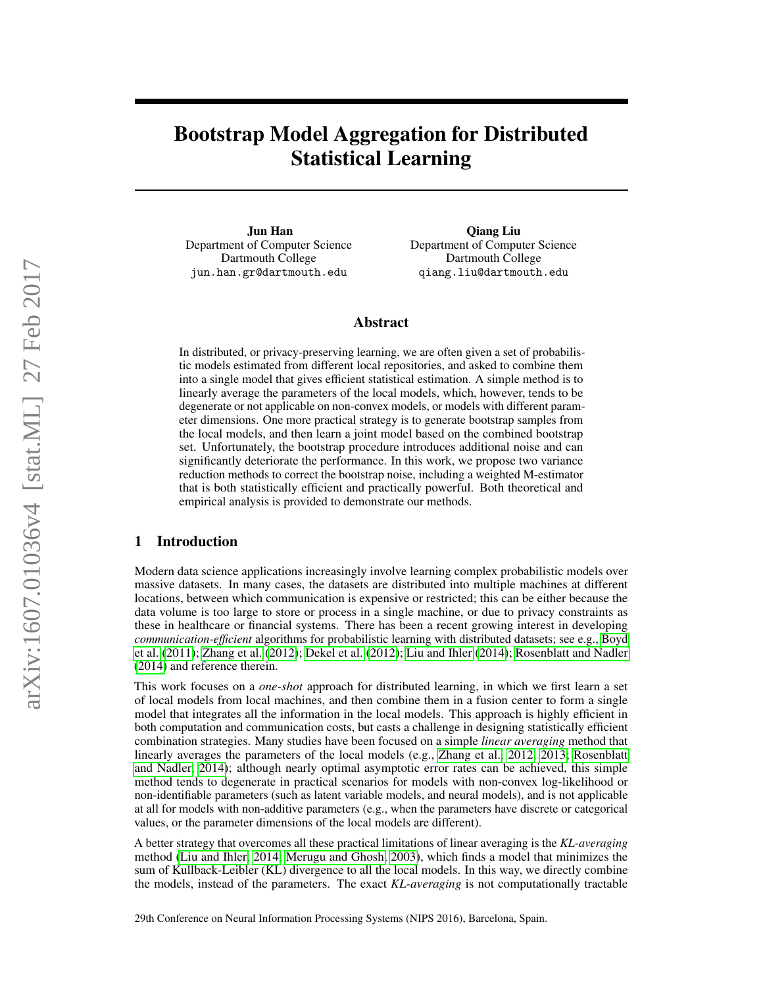# Bootstrap Model Aggregation for Distributed Statistical Learning

Jun Han Department of Computer Science Dartmouth College jun.han.gr@dartmouth.edu

Qiang Liu Department of Computer Science Dartmouth College qiang.liu@dartmouth.edu

## Abstract

In distributed, or privacy-preserving learning, we are often given a set of probabilistic models estimated from different local repositories, and asked to combine them into a single model that gives efficient statistical estimation. A simple method is to linearly average the parameters of the local models, which, however, tends to be degenerate or not applicable on non-convex models, or models with different parameter dimensions. One more practical strategy is to generate bootstrap samples from the local models, and then learn a joint model based on the combined bootstrap set. Unfortunately, the bootstrap procedure introduces additional noise and can significantly deteriorate the performance. In this work, we propose two variance reduction methods to correct the bootstrap noise, including a weighted M-estimator that is both statistically efficient and practically powerful. Both theoretical and empirical analysis is provided to demonstrate our methods.

## 1 Introduction

Modern data science applications increasingly involve learning complex probabilistic models over massive datasets. In many cases, the datasets are distributed into multiple machines at different locations, between which communication is expensive or restricted; this can be either because the data volume is too large to store or process in a single machine, or due to privacy constraints as these in healthcare or financial systems. There has been a recent growing interest in developing *communication-efficient* algorithms for probabilistic learning with distributed datasets; see e.g., [Boyd](#page-8-0) [et al.](#page-8-0) [\(2011\)](#page-8-0); [Zhang et al.](#page-8-1) [\(2012\)](#page-8-1); [Dekel et al.](#page-8-2) [\(2012\)](#page-8-2); [Liu and Ihler](#page-8-3) [\(2014\)](#page-8-3); [Rosenblatt and Nadler](#page-8-4) [\(2014\)](#page-8-4) and reference therein.

This work focuses on a *one-shot* approach for distributed learning, in which we first learn a set of local models from local machines, and then combine them in a fusion center to form a single model that integrates all the information in the local models. This approach is highly efficient in both computation and communication costs, but casts a challenge in designing statistically efficient combination strategies. Many studies have been focused on a simple *linear averaging* method that linearly averages the parameters of the local models (e.g., [Zhang et al., 2012,](#page-8-1) [2013;](#page-8-5) [Rosenblatt](#page-8-4) [and Nadler, 2014\)](#page-8-4); although nearly optimal asymptotic error rates can be achieved, this simple method tends to degenerate in practical scenarios for models with non-convex log-likelihood or non-identifiable parameters (such as latent variable models, and neural models), and is not applicable at all for models with non-additive parameters (e.g., when the parameters have discrete or categorical values, or the parameter dimensions of the local models are different).

A better strategy that overcomes all these practical limitations of linear averaging is the *KL-averaging* method [\(Liu and Ihler, 2014;](#page-8-3) [Merugu and Ghosh, 2003\)](#page-8-6), which finds a model that minimizes the sum of Kullback-Leibler (KL) divergence to all the local models. In this way, we directly combine the models, instead of the parameters. The exact *KL-averaging* is not computationally tractable

29th Conference on Neural Information Processing Systems (NIPS 2016), Barcelona, Spain.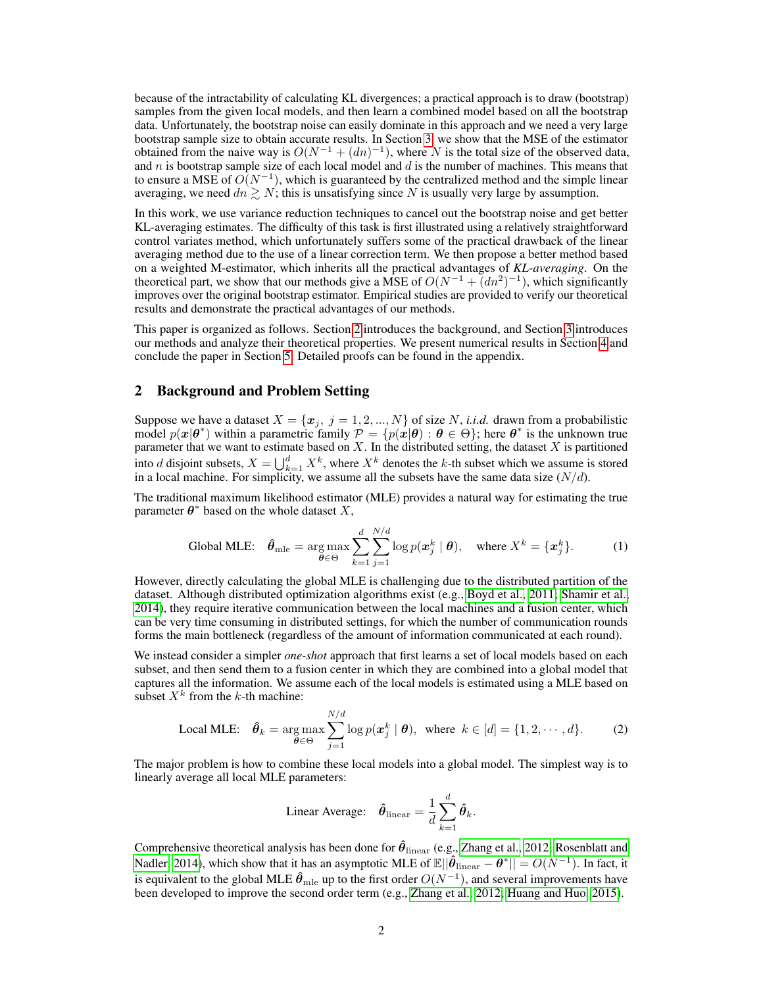because of the intractability of calculating KL divergences; a practical approach is to draw (bootstrap) samples from the given local models, and then learn a combined model based on all the bootstrap data. Unfortunately, the bootstrap noise can easily dominate in this approach and we need a very large bootstrap sample size to obtain accurate results. In Section [3,](#page-2-0) we show that the MSE of the estimator obtained from the naive way is  $O(N^{-1} + (dn)^{-1})$ , where N is the total size of the observed data, and  $n$  is bootstrap sample size of each local model and  $d$  is the number of machines. This means that to ensure a MSE of  $O(N^{-1})$ , which is guaranteed by the centralized method and the simple linear averaging, we need  $dn \geq N$ ; this is unsatisfying since N is usually very large by assumption.

In this work, we use variance reduction techniques to cancel out the bootstrap noise and get better KL-averaging estimates. The difficulty of this task is first illustrated using a relatively straightforward control variates method, which unfortunately suffers some of the practical drawback of the linear averaging method due to the use of a linear correction term. We then propose a better method based on a weighted M-estimator, which inherits all the practical advantages of *KL-averaging*. On the theoretical part, we show that our methods give a MSE of  $O(N^{-1} + (dn^2)^{-1})$ , which significantly improves over the original bootstrap estimator. Empirical studies are provided to verify our theoretical results and demonstrate the practical advantages of our methods.

This paper is organized as follows. Section [2](#page-1-0) introduces the background, and Section [3](#page-2-0) introduces our methods and analyze their theoretical properties. We present numerical results in Section [4](#page-5-0) and conclude the paper in Section [5.](#page-7-0) Detailed proofs can be found in the appendix.

## <span id="page-1-0"></span>2 Background and Problem Setting

Suppose we have a dataset  $X = \{x_j, j = 1, 2, ..., N\}$  of size N, *i.i.d.* drawn from a probabilistic model  $p(x|\theta^*)$  within a parametric family  $\mathcal{P} = \{p(x|\theta) : \theta \in \Theta\}$ ; here  $\theta^*$  is the unknown true parameter that we want to estimate based on  $X$ . In the distributed setting, the dataset  $X$  is partitioned into d disjoint subsets,  $X = \bigcup_{k=1}^{d} X^k$ , where  $X^k$  denotes the k-th subset which we assume is stored in a local machine. For simplicity, we assume all the subsets have the same data size  $(N/d)$ .

The traditional maximum likelihood estimator (MLE) provides a natural way for estimating the true parameter  $\boldsymbol{\theta}^*$  based on the whole dataset  $X$ ,

Global MLE: 
$$
\hat{\theta}_{\text{mle}} = \underset{\theta \in \Theta}{\arg \max} \sum_{k=1}^{d} \sum_{j=1}^{N/d} \log p(\mathbf{x}_j^k | \theta), \text{ where } X^k = \{\mathbf{x}_j^k\}. \tag{1}
$$

However, directly calculating the global MLE is challenging due to the distributed partition of the dataset. Although distributed optimization algorithms exist (e.g., [Boyd et al., 2011;](#page-8-0) [Shamir et al.,](#page-8-7) [2014\)](#page-8-7), they require iterative communication between the local machines and a fusion center, which can be very time consuming in distributed settings, for which the number of communication rounds forms the main bottleneck (regardless of the amount of information communicated at each round).

We instead consider a simpler *one-shot* approach that first learns a set of local models based on each subset, and then send them to a fusion center in which they are combined into a global model that captures all the information. We assume each of the local models is estimated using a MLE based on subset  $X^k$  from the k-th machine:

$$
\text{Local MLE:} \quad \hat{\boldsymbol{\theta}}_k = \underset{\boldsymbol{\theta} \in \Theta}{\arg \max} \sum_{j=1}^{N/d} \log p(\boldsymbol{x}_j^k \mid \boldsymbol{\theta}), \text{ where } k \in [d] = \{1, 2, \cdots, d\}. \tag{2}
$$

The major problem is how to combine these local models into a global model. The simplest way is to linearly average all local MLE parameters:

<span id="page-1-1"></span>Linear Average: 
$$
\hat{\theta}_{\text{linear}} = \frac{1}{d} \sum_{k=1}^{d} \hat{\theta}_k
$$
.

Comprehensive theoretical analysis has been done for  $\hat{\theta}_{\text{linear}}$  (e.g., [Zhang et al., 2012;](#page-8-1) [Rosenblatt and](#page-8-4) [Nadler, 2014\)](#page-8-4), which show that it has an asymptotic MLE of  $\mathbb{E}||\hat{\theta}_{\text{linear}}-\theta^*||=O(N^{-1}).$  In fact, it is equivalent to the global MLE  $\hat{\bm{\theta}}_{\rm mle}$  up to the first order  $O(N^{-1}),$  and several improvements have been developed to improve the second order term (e.g., [Zhang et al., 2012;](#page-8-1) [Huang and Huo, 2015\)](#page-8-8).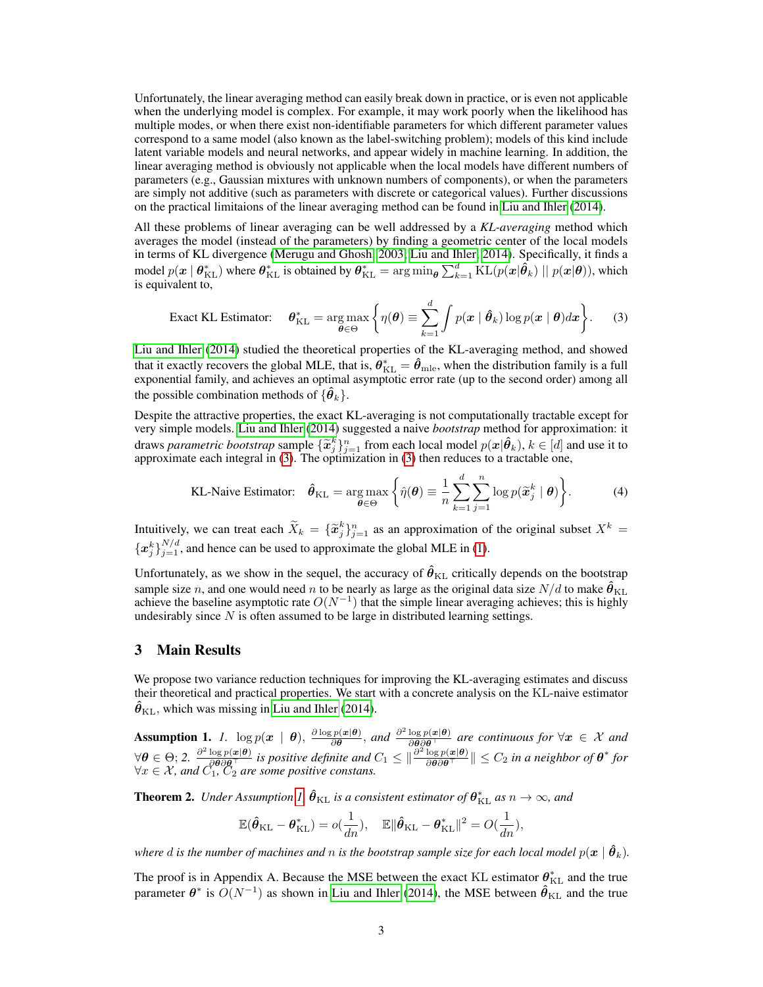Unfortunately, the linear averaging method can easily break down in practice, or is even not applicable when the underlying model is complex. For example, it may work poorly when the likelihood has multiple modes, or when there exist non-identifiable parameters for which different parameter values correspond to a same model (also known as the label-switching problem); models of this kind include latent variable models and neural networks, and appear widely in machine learning. In addition, the linear averaging method is obviously not applicable when the local models have different numbers of parameters (e.g., Gaussian mixtures with unknown numbers of components), or when the parameters are simply not additive (such as parameters with discrete or categorical values). Further discussions on the practical limitaions of the linear averaging method can be found in [Liu and Ihler](#page-8-3) [\(2014\)](#page-8-3).

All these problems of linear averaging can be well addressed by a *KL-averaging* method which averages the model (instead of the parameters) by finding a geometric center of the local models in terms of KL divergence [\(Merugu and Ghosh, 2003;](#page-8-6) [Liu and Ihler, 2014\)](#page-8-3). Specifically, it finds a model  $p(\bm{x} \mid \bm{\theta}_{\text{KL}}^*)$  where  $\bm{\theta}_{\text{KL}}^*$  is obtained by  $\bm{\theta}_{\text{KL}}^* = \arg \min_{\bm{\theta}} \sum_{k=1}^d \text{KL}(p(\bm{x}|\hat{\bm{\theta}}_k) \mid\mid p(\bm{x}|\bm{\theta}))$ , which is equivalent to,

<span id="page-2-1"></span>Exact KL Estimator: 
$$
\boldsymbol{\theta}_{\text{KL}}^* = \underset{\boldsymbol{\theta} \in \Theta}{\arg \max} \left\{ \eta(\boldsymbol{\theta}) \equiv \sum_{k=1}^d \int p(\boldsymbol{x} \mid \hat{\boldsymbol{\theta}}_k) \log p(\boldsymbol{x} \mid \boldsymbol{\theta}) d\boldsymbol{x} \right\}.
$$
 (3)

[Liu and Ihler](#page-8-3) [\(2014\)](#page-8-3) studied the theoretical properties of the KL-averaging method, and showed that it exactly recovers the global MLE, that is,  $\pmb{\theta}^*_{\rm KL} = \hat{\pmb{\theta}}_{\rm mle}$ , when the distribution family is a full exponential family, and achieves an optimal asymptotic error rate (up to the second order) among all the possible combination methods of  $\{\hat{\theta}_k\}.$ 

Despite the attractive properties, the exact KL-averaging is not computationally tractable except for very simple models. [Liu and Ihler](#page-8-3) [\(2014\)](#page-8-3) suggested a naive *bootstrap* method for approximation: it draws *parametric bootstrap* sample  $\{\tilde{x}_j^k\}_{j=1}^n$  from each local model  $p(x|\hat{\theta}_k)$ ,  $k \in [d]$  and use it to approximate each integral in (3). The optimization in (3) then reduces to a tractable one approximate each integral in [\(3\)](#page-2-1). The optimization in [\(3\)](#page-2-1) then reduces to a tractable one,

<span id="page-2-3"></span>KL-Naive Estimator: 
$$
\hat{\theta}_{KL} = \underset{\theta \in \Theta}{\arg \max} \left\{ \hat{\eta}(\theta) \equiv \frac{1}{n} \sum_{k=1}^{d} \sum_{j=1}^{n} \log p(\tilde{\boldsymbol{x}}_j^k | \boldsymbol{\theta}) \right\}.
$$
 (4)

Intuitively, we can treat each  $\widetilde{X}_k = {\{\widetilde{x}_j^k\}_{j=1}^n}$  as an approximation of the original subset  $X^k = {k!} \binom{N}{k}$  ${x_j^k}_{j=1}^{N/d}$ , and hence can be used to approximate the global MLE in [\(1\)](#page-1-1).

Unfortunately, as we show in the sequel, the accuracy of  $\hat{\theta}_{KL}$  critically depends on the bootstrap sample size n, and one would need n to be nearly as large as the original data size  $N/d$  to make  $\hat{\theta}_{KL}$ achieve the baseline asymptotic rate  $O(N^{-1})$  that the simple linear averaging achieves; this is highly undesirably since  $N$  is often assumed to be large in distributed learning settings.

## <span id="page-2-0"></span>3 Main Results

We propose two variance reduction techniques for improving the KL-averaging estimates and discuss their theoretical and practical properties. We start with a concrete analysis on the KL-naive estimator  $\ddot{\theta}_{\rm KL}$ , which was missing in [Liu and Ihler](#page-8-3) [\(2014\)](#page-8-3).

<span id="page-2-2"></span>**Assumption 1.** *1.*  $\log p(x \mid \theta)$ ,  $\frac{\partial \log p(x|\theta)}{\partial \theta}$  $\frac{\partial^2 P(x|\theta)}{\partial \theta \partial \theta}$ , and  $\frac{\partial^2 \log p(x|\theta)}{\partial \theta \partial \theta}$  are continuous for  $\forall x \in \mathcal{X}$  and  $\forall \theta \in \Theta$ ; 2.  $\frac{\partial^2 \log p(\mathbf{x}|\theta)}{\partial \theta \partial \theta}$  is positive definite and  $C_1 \leq \|\frac{\partial^2 \log p(\mathbf{x}|\theta)}{\partial \theta \partial \theta} \| \leq C_2$  in a neighbor of  $\theta^*$  for  $\forall x \in \mathcal{X}$ , and  $C_1$ ,  $C_2$  are some positive constans.

<span id="page-2-4"></span>**Theorem 2.** Under Assumption [1,](#page-2-2)  $\hat{\theta}_{\text{KL}}$  is a consistent estimator of  $\theta_{\text{KL}}^{*}$  as  $n \to \infty$ , and

$$
\mathbb{E}(\hat{\theta}_{\mathrm{KL}} - \theta_{\mathrm{KL}}^*) = o(\frac{1}{dn}), \quad \mathbb{E}\|\hat{\theta}_{\mathrm{KL}} - \theta_{\mathrm{KL}}^*\|^2 = O(\frac{1}{dn}),
$$

*where* d is the number of machines and n is the bootstrap sample size for each local model  $p(x | \hat{\theta}_k)$ .

The proof is in Appendix A. Because the MSE between the exact KL estimator  $\theta_{\rm KL}^*$  and the true parameter  $\theta^*$  is  $O(N^{-1})$  as shown in [Liu and Ihler](#page-8-3) [\(2014\)](#page-8-3), the MSE between  $\hat{\theta}_{\text{KL}}$  and the true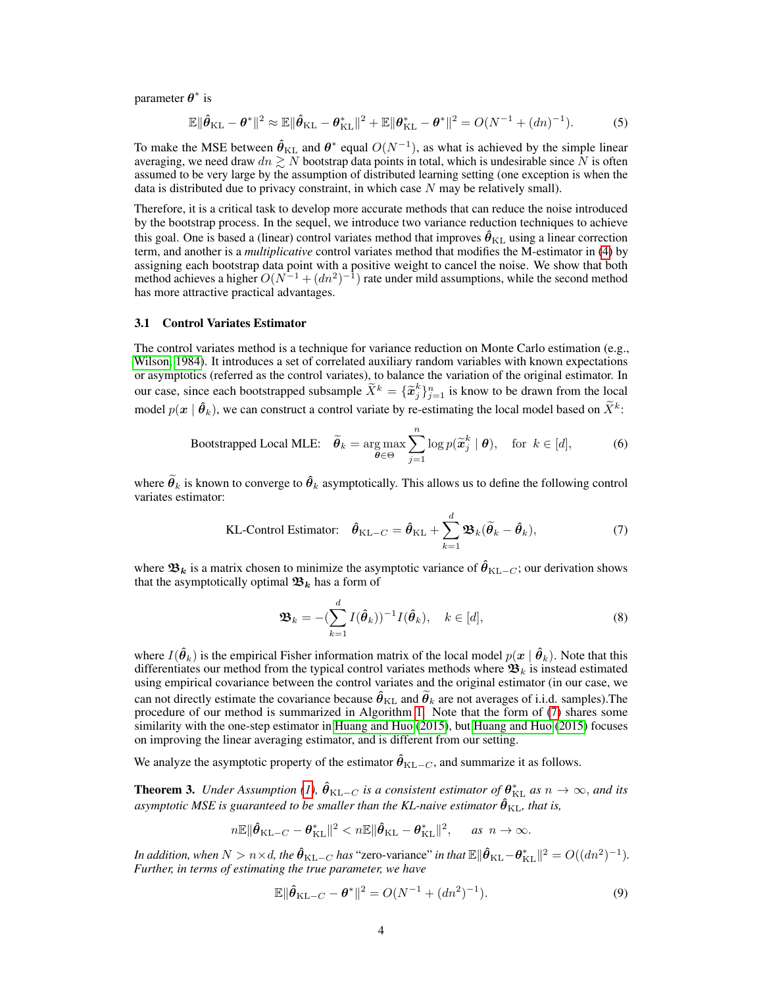parameter  $\theta^*$  is

<span id="page-3-4"></span>
$$
\mathbb{E}\|\hat{\boldsymbol{\theta}}_{\mathrm{KL}}-\boldsymbol{\theta}^*\|^2 \approx \mathbb{E}\|\hat{\boldsymbol{\theta}}_{\mathrm{KL}}-\boldsymbol{\theta}_{\mathrm{KL}}^*\|^2 + \mathbb{E}\|\boldsymbol{\theta}_{\mathrm{KL}}^*-\boldsymbol{\theta}^*\|^2 = O(N^{-1}+(dn)^{-1}).
$$
 (5)

To make the MSE between  $\hat{\theta}_{KL}$  and  $\theta^*$  equal  $O(N^{-1})$ , as what is achieved by the simple linear averaging, we need draw  $dn \gtrsim N$  bootstrap data points in total, which is undesirable since N is often assumed to be very large by the assumption of distributed learning setting (one exception is when the data is distributed due to privacy constraint, in which case  $N$  may be relatively small).

Therefore, it is a critical task to develop more accurate methods that can reduce the noise introduced by the bootstrap process. In the sequel, we introduce two variance reduction techniques to achieve this goal. One is based a (linear) control variates method that improves  $\hat{\theta}_{KL}$  using a linear correction term, and another is a *multiplicative* control variates method that modifies the M-estimator in [\(4\)](#page-2-3) by assigning each bootstrap data point with a positive weight to cancel the noise. We show that both method achieves a higher  $O(N^{-1} + (dn^2)^{-1})$  rate under mild assumptions, while the second method has more attractive practical advantages.

## 3.1 Control Variates Estimator

The control variates method is a technique for variance reduction on Monte Carlo estimation (e.g., [Wilson, 1984\)](#page-8-9). It introduces a set of correlated auxiliary random variables with known expectations or asymptotics (referred as the control variates), to balance the variation of the original estimator. In our case, since each bootstrapped subsample  $\widetilde{X}^k = {\{\widetilde{x}^k_j\}_{j=1}^n}$  is know to be drawn from the local model  $p(x | \hat{\theta}_k)$ , we can construct a control variate by re-estimating the local model based on  $\widetilde{X}^k$ :

**Boostrapped Local MLE:** 
$$
\widetilde{\boldsymbol{\theta}}_k = \arg \max_{\boldsymbol{\theta} \in \Theta} \sum_{j=1}^n \log p(\widetilde{\boldsymbol{x}}_j^k | \boldsymbol{\theta}), \text{ for } k \in [d],
$$
 (6)

where  $\tilde{\theta}_k$  is known to converge to  $\hat{\theta}_k$  asymptotically. This allows us to define the following control variates estimator:

<span id="page-3-0"></span>KL-Control Estimator: 
$$
\hat{\theta}_{\text{KL}-C} = \hat{\theta}_{\text{KL}} + \sum_{k=1}^{d} \mathfrak{B}_k (\tilde{\theta}_k - \hat{\theta}_k),
$$
 (7)

where  $\mathfrak{B}_k$  is a matrix chosen to minimize the asymptotic variance of  $\hat{\theta}_{\text{KL}-C}$ ; our derivation shows that the asymptotically optimal  $\mathfrak{B}_k$  has a form of

<span id="page-3-2"></span><span id="page-3-1"></span>
$$
\mathbf{\mathfrak{B}}_k = -(\sum_{k=1}^d I(\hat{\boldsymbol{\theta}}_k))^{-1} I(\hat{\boldsymbol{\theta}}_k), \quad k \in [d], \tag{8}
$$

where  $I(\hat{\theta}_k)$  is the empirical Fisher information matrix of the local model  $p(x | \hat{\theta}_k)$ . Note that this differentiates our method from the typical control variates methods where  $\mathfrak{B}_k$  is instead estimated using empirical covariance between the control variates and the original estimator (in our case, we can not directly estimate the covariance because  $\hat{\theta}_{KL}$  and  $\hat{\theta}_k$  are not averages of i.i.d. samples). The procedure of our method is summarized in Algorithm [1.](#page-4-0) Note that the form of [\(7\)](#page-3-0) shares some similarity with the one-step estimator in [Huang and Huo](#page-8-8) [\(2015\)](#page-8-8), but [Huang and Huo](#page-8-8) [\(2015\)](#page-8-8) focuses on improving the linear averaging estimator, and is different from our setting.

We analyze the asymptotic property of the estimator  $\hat{\theta}_{\text{KL}-C}$ , and summarize it as follows.

<span id="page-3-3"></span>**Theorem 3.** *Under Assumption [\(1\)](#page-2-2),*  $\hat{\theta}_{\text{KL}-C}$  *is a consistent estimator of*  $\theta_{\text{KL}}^*$  *as*  $n \to \infty$ *, and its asymptotic MSE is guaranteed to be smaller than the KL-naive estimator*  $\hat{\theta}_{\text{KL}}$ *, that is,* 

$$
n\mathbb{E}\|\hat{\theta}_{\mathrm{KL}-C}-\theta_{\mathrm{KL}}^*\|^2 < n\mathbb{E}\|\hat{\theta}_{\mathrm{KL}}-\theta_{\mathrm{KL}}^*\|^2, \quad \text{as } n \to \infty.
$$

*In addition, when*  $N > n \times d$ , the  $\hat{\theta}_{\text{KL}-C}$  has "zero-variance" *in that*  $\mathbb{E} \|\hat{\theta}_{\text{KL}} - \theta_{\text{KL}}^* \|^2 = O((dn^2)^{-1})$ . *Further, in terms of estimating the true parameter, we have*

$$
\mathbb{E} \|\hat{\theta}_{\mathrm{KL}-C} - \theta^*\|^2 = O(N^{-1} + (dn^2)^{-1}).\tag{9}
$$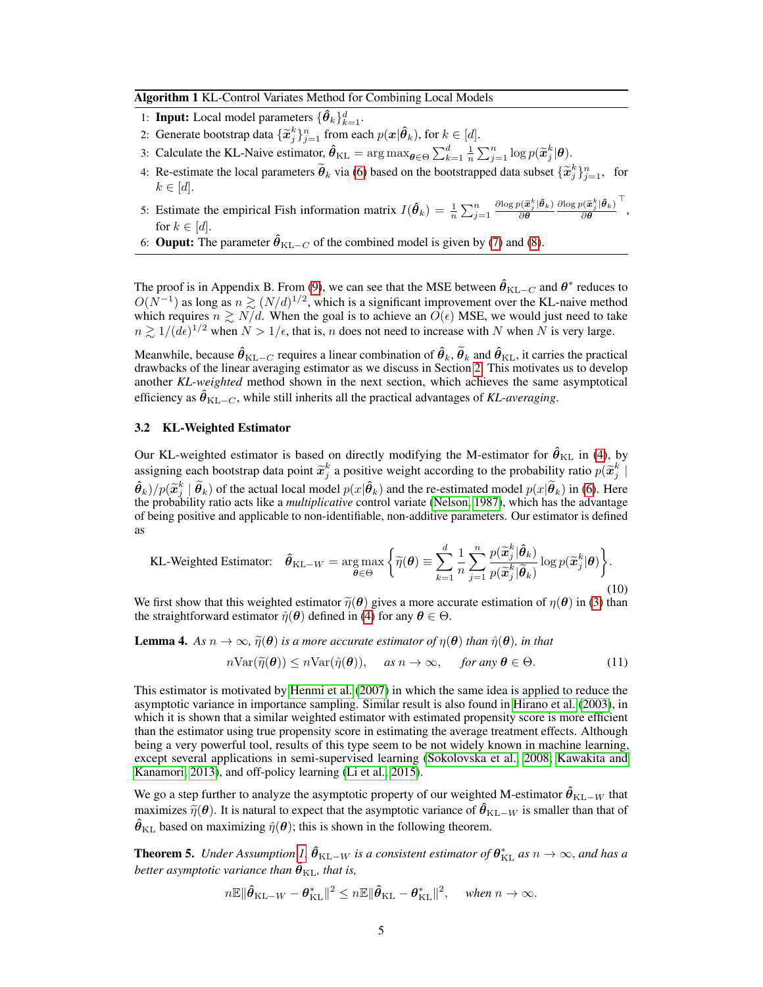#### <span id="page-4-0"></span>Algorithm 1 KL-Control Variates Method for Combining Local Models

- 1: **Input:** Local model parameters  $\{\hat{\theta}_k\}_{k=1}^d$ .
- 2: Generate bootstrap data  $\{\widetilde{x}_j^k\}_{j=1}^n$  from each  $p(x|\hat{\theta}_k)$ , for  $k \in [d]$ .
- 3: Calculate the KL-Naive estimator,  $\hat{\theta}_{KL} = \arg \max_{\theta \in \Theta} \sum_{k=1}^{d} \frac{1}{n} \sum_{j=1}^{n} \log p(\tilde{x}_j^k | \theta)$ .
- 4: Re-estimate the local parameters  $\tilde{\theta}_k$  via [\(6\)](#page-3-1) based on the bootstrapped data subset  $\{\tilde{x}_j^k\}_{j=1}^n$ , for  $k \in [d]$ .
- 5: Estimate the empirical Fish information matrix  $I(\hat{\theta}_k) = \frac{1}{n} \sum_{j=1}^n \frac{\partial \log p(\tilde{\mathbf{x}}_j^k | \hat{\theta}_k)}{\partial \theta}$  $\frac{\partial \left(\widetilde{\boldsymbol{x}}^{k}_j \vert \hat{\boldsymbol{\theta}}_k\right)}{\partial \boldsymbol{\theta}} \frac{\partial \mathrm{log}~p(\widetilde{\boldsymbol{x}}^{k}_j \vert \hat{\boldsymbol{\theta}}_k)}{\partial \boldsymbol{\theta}}$ ∂θ  $\top$ for  $k \in [d]$ .

,

6: **Ouput:** The parameter  $\hat{\theta}_{\text{KL}-C}$  of the combined model is given by [\(7\)](#page-3-0) and [\(8\)](#page-3-2).

The proof is in Appendix B. From [\(9\)](#page-11-0), we can see that the MSE between  $\hat{\theta}_{\text{KL}-C}$  and  $\theta^*$  reduces to  $O(N^{-1})$  as long as  $n \gtrsim (N/d)^{1/2}$ , which is a significant improvement over the KL-naive method which requires  $n \ge N/d$ . When the goal is to achieve an  $O(\epsilon)$  MSE, we would just need to take  $n \gtrsim 1/(d\epsilon)^{1/2}$  when  $N > 1/\epsilon$ , that is, n does not need to increase with N when N is very large.

Meanwhile, because  $\hat{\theta}_{\text{KL}-C}$  requires a linear combination of  $\hat{\theta}_k$ ,  $\tilde{\theta}_k$  and  $\hat{\theta}_{\text{KL}}$ , it carries the practical drawbacks of the linear averaging estimator as we discuss in Section [2.](#page-1-0) This motivates us to develop another *KL-weighted* method shown in the next section, which achieves the same asymptotical efficiency as  $\hat{\theta}_{\text{KL}-C}$ , while still inherits all the practical advantages of *KL-averaging*.

#### 3.2 KL-Weighted Estimator

Our KL-weighted estimator is based on directly modifying the M-estimator for  $\hat{\theta}_{\text{KL}}$  in [\(4\)](#page-2-3), by assigning each bootstrap data point  $\tilde{x}_j^k$  a positive weight according to the probability ratio  $p(\tilde{x}_j^k \mid \hat{\tilde{\lambda}})$  $(\hat{\theta}_k)/p(\tilde{x}_{j}^k | \tilde{\theta}_k)$  of the actual local model  $p(x|\hat{\theta}_k)$  and the re-estimated model  $p(x|\tilde{\theta}_k)$  in [\(6\)](#page-3-1). Here the probability ratio acts like a *multiplicative* control variate (Nelson 1987), which has the advan the probability ratio acts like a *multiplicative* control variate [\(Nelson, 1987\)](#page-8-10), which has the advantage of being positive and applicable to non-identifiable, non-additive parameters. Our estimator is defined as

<span id="page-4-1"></span>KL-Weighted Estimator: 
$$
\hat{\theta}_{KL-W} = \arg \max_{\theta \in \Theta} \left\{ \widetilde{\eta}(\theta) \equiv \sum_{k=1}^d \frac{1}{n} \sum_{j=1}^n \frac{p(\widetilde{\boldsymbol{x}}_j^k | \hat{\theta}_k)}{p(\widetilde{\boldsymbol{x}}_j^k | \widetilde{\theta}_k)} \log p(\widetilde{\boldsymbol{x}}_j^k | \theta) \right\}.
$$
 (10)

We first show that this weighted estimator  $\tilde{\eta}(\theta)$  gives a more accurate estimation of  $\eta(\theta)$  in [\(3\)](#page-2-1) than the straightforward estimator  $\hat{\eta}(\theta)$  defined in [\(4\)](#page-2-3) for any  $\theta \in \Theta$ .

**Lemma 4.** As  $n \to \infty$ ,  $\widetilde{\eta}(\theta)$  *is a more accurate estimator of*  $\eta(\theta)$  *than*  $\hat{\eta}(\theta)$ *, in that* 

$$
n\text{Var}(\tilde{\eta}(\boldsymbol{\theta})) \le n\text{Var}(\hat{\eta}(\boldsymbol{\theta})), \quad \text{as } n \to \infty, \quad \text{for any } \boldsymbol{\theta} \in \Theta.
$$
 (11)

This estimator is motivated by [Henmi et al.](#page-8-11) [\(2007\)](#page-8-11) in which the same idea is applied to reduce the asymptotic variance in importance sampling. Similar result is also found in [Hirano et al.](#page-8-12) [\(2003\)](#page-8-12), in which it is shown that a similar weighted estimator with estimated propensity score is more efficient than the estimator using true propensity score in estimating the average treatment effects. Although being a very powerful tool, results of this type seem to be not widely known in machine learning, except several applications in semi-supervised learning [\(Sokolovska et al., 2008;](#page-8-13) [Kawakita and](#page-8-14) [Kanamori, 2013\)](#page-8-14), and off-policy learning [\(Li et al., 2015\)](#page-8-15).

We go a step further to analyze the asymptotic property of our weighted M-estimator  $\hat{\bm{\theta}}_{\text{KL}-W}$  that maximizes  $\tilde{\eta}(\theta)$ . It is natural to expect that the asymptotic variance of  $\hat{\theta}_{KL-W}$  is smaller than that of  $\hat{\theta}_{\text{KL}}$  based on maximizing  $\hat{\eta}(\theta)$ ; this is shown in the following theorem.

<span id="page-4-2"></span>**Theorem 5.** Under Assumption [1,](#page-2-2)  $\hat{\theta}_{\text{KL}-W}$  is a consistent estimator of  $\theta_{\text{KL}}^*$  as  $n \to \infty$ , and has a *better asymptotic variance than*  $\hat{\theta}_{\text{KL}}$ *, that is,* 

$$
n\mathbb{E}\|\hat{\theta}_{\text{KL}-W}-\theta_{\text{KL}}^*\|^2 \leq n\mathbb{E}\|\hat{\theta}_{\text{KL}}-\theta_{\text{KL}}^*\|^2, \quad \text{when } n \to \infty.
$$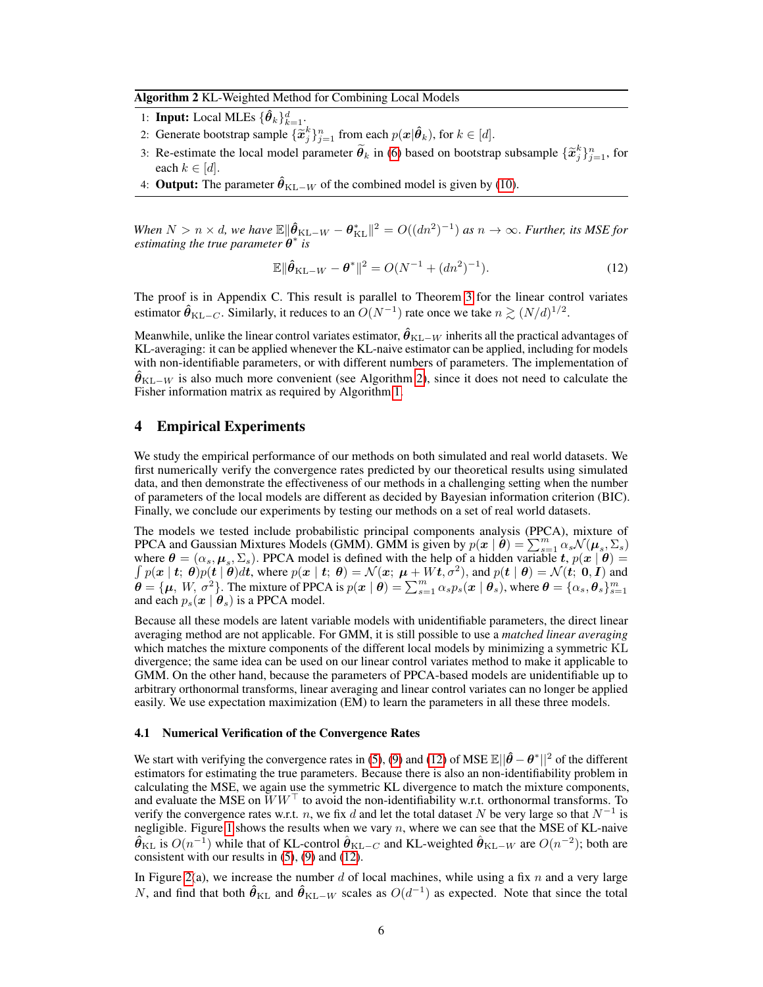#### <span id="page-5-1"></span>Algorithm 2 KL-Weighted Method for Combining Local Models

- 1: **Input:** Local MLEs  $\{\hat{\theta}_k\}_{k=1}^d$ .
- 2: Generate bootstrap sample  $\{\widetilde{x}_j^k\}_{j=1}^n$  from each  $p(x|\hat{\theta}_k)$ , for  $k \in [d]$ .
- 3: Re-estimate the local model parameter  $\tilde{\theta}_k$  in [\(6\)](#page-3-1) based on bootstrap subsample  $\{\tilde{x}_j^k\}_{j=1}^n$ , for each  $k \in [d]$ .
- 4: **Output:** The parameter  $\hat{\theta}_{KL-W}$  of the combined model is given by [\(10\)](#page-4-1).

*When*  $N > n \times d$ , we have  $\mathbb{E} \|\hat{\theta}_{\text{KL}-W} - \theta_{\text{KL}}^*\|^2 = O((dn^2)^{-1})$  *as*  $n \to \infty$ . *Further, its MSE for estimating the true parameter* θ ∗ *is*

<span id="page-5-2"></span>
$$
\mathbb{E} \|\hat{\theta}_{\mathrm{KL}-W} - \theta^*\|^2 = O(N^{-1} + (dn^2)^{-1}).\tag{12}
$$

The proof is in Appendix C. This result is parallel to Theorem [3](#page-3-3) for the linear control variates estimator  $\hat{\theta}_{\text{KL}-C}$ . Similarly, it reduces to an  $O(N^{-1})$  rate once we take  $n \gtrsim (N/d)^{1/2}$ .

Meanwhile, unlike the linear control variates estimator,  $\hat{\theta}_{KL-W}$  inherits all the practical advantages of KL-averaging: it can be applied whenever the KL-naive estimator can be applied, including for models with non-identifiable parameters, or with different numbers of parameters. The implementation of  $\hat{\theta}_{\text{KL}-W}$  is also much more convenient (see Algorithm [2\)](#page-5-1), since it does not need to calculate the Fisher information matrix as required by Algorithm [1.](#page-4-0)

## <span id="page-5-0"></span>4 Empirical Experiments

We study the empirical performance of our methods on both simulated and real world datasets. We first numerically verify the convergence rates predicted by our theoretical results using simulated data, and then demonstrate the effectiveness of our methods in a challenging setting when the number of parameters of the local models are different as decided by Bayesian information criterion (BIC). Finally, we conclude our experiments by testing our methods on a set of real world datasets.

The models we tested include probabilistic principal components analysis (PPCA), mixture of PPCA and Gaussian Mixtures Models (GMM). GMM is given by  $p(x | \theta) = \sum_{s=1}^{m} \alpha_s \mathcal{N}(\mu_s, \Sigma_s)$ where  $\theta = (\alpha_s, \mu_s, \Sigma_s)$ . PPCA model is defined with the help of a hidden variable t,  $p(x | \theta) =$ <br> $\int p(x | t; \theta)p(t | \theta)dt$ , where  $p(x | t; \theta) = \mathcal{N}(x; \mu + Wt, \sigma^2)$ , and  $p(t | \theta) = \mathcal{N}(t; 0, I)$  and  $p(x \mid t; \theta)p(t \mid \theta)dt$ , where  $p(x \mid t; \theta) = \mathcal{N}(x; \mu + Wt, \sigma^2)$ , and  $p(t \mid \theta) = \mathcal{N}(t; 0, I)$  and  $\hat{\boldsymbol{\theta}} = {\mu, W, \sigma^2}$ . The mixture of PPCA is  $p(\boldsymbol{x} \mid \boldsymbol{\theta}) = \sum_{s=1}^m \alpha_s p_s(\boldsymbol{x} \mid \boldsymbol{\theta}_s)$ , where  $\boldsymbol{\theta} = {\alpha_s, \theta_s}_{s=1}^m$ and each  $p_s(x | \theta_s)$  is a PPCA model.

Because all these models are latent variable models with unidentifiable parameters, the direct linear averaging method are not applicable. For GMM, it is still possible to use a *matched linear averaging* which matches the mixture components of the different local models by minimizing a symmetric KL divergence; the same idea can be used on our linear control variates method to make it applicable to GMM. On the other hand, because the parameters of PPCA-based models are unidentifiable up to arbitrary orthonormal transforms, linear averaging and linear control variates can no longer be applied easily. We use expectation maximization (EM) to learn the parameters in all these three models.

#### 4.1 Numerical Verification of the Convergence Rates

We start with verifying the convergence rates in [\(5\)](#page-3-4), [\(9\)](#page-11-0) and [\(12\)](#page-5-2) of MSE  $\mathbb{E}||\hat{\theta} - \theta^*||^2$  of the different estimators for estimating the true parameters. Because there is also an non-identifiability problem in calculating the MSE, we again use the symmetric KL divergence to match the mixture components, and evaluate the MSE on  $\overline{W}W^{\top}$  to avoid the non-identifiability w.r.t. orthonormal transforms. To verify the convergence rates w.r.t. n, we fix d and let the total dataset N be very large so that  $N^{-1}$  is negligible. Figure [1](#page-6-0) shows the results when we vary  $n$ , where we can see that the MSE of KL-naive  $\hat{\theta}_{\text{KL}}$  is  $O(n^{-1})$  while that of KL-control  $\hat{\theta}_{\text{KL}-C}$  and KL-weighted  $\hat{\theta}_{\text{KL}-W}$  are  $O(n^{-2})$ ; both are consistent with our results in [\(5\)](#page-3-4), [\(9\)](#page-11-0) and [\(12\)](#page-5-2).

In Figure [2\(](#page-6-1)a), we increase the number d of local machines, while using a fix n and a very large N, and find that both  $\hat{\theta}_{KL}$  and  $\hat{\theta}_{KL-W}$  scales as  $O(d^{-1})$  as expected. Note that since the total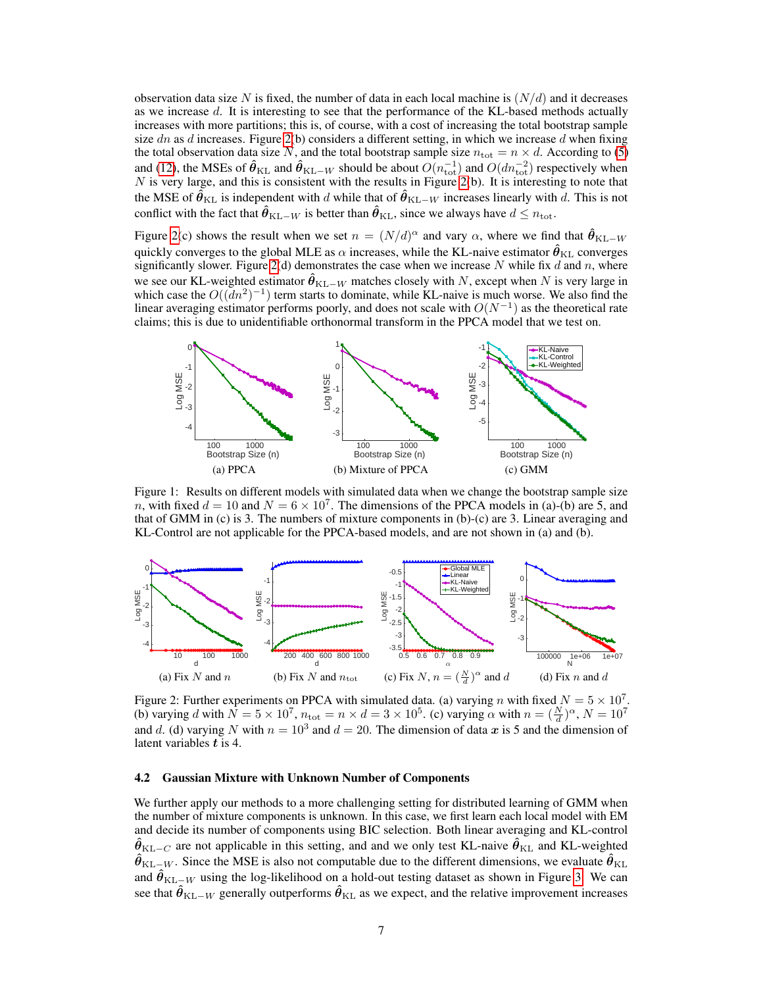observation data size N is fixed, the number of data in each local machine is  $(N/d)$  and it decreases as we increase d. It is interesting to see that the performance of the KL-based methods actually increases with more partitions; this is, of course, with a cost of increasing the total bootstrap sample size dn as d increases. Figure [2\(](#page-6-1)b) considers a different setting, in which we increase d when fixing the total observation data size N, and the total bootstrap sample size  $n_{\text{tot}} = n \times d$ . According to [\(5\)](#page-3-4) and [\(12\)](#page-5-2), the MSEs of  $\hat{\theta}_{KL}$  and  $\hat{\theta}_{KL-W}$  should be about  $O(n_{\text{tot}}^{-1})$  and  $O(dn_{\text{tot}}^{-2})$  respectively when  $N$  is very large, and this is consistent with the results in Figure [2\(](#page-6-1)b). It is interesting to note that the MSE of  $\hat{\theta}_{\rm KL}$  is independent with d while that of  $\hat{\theta}_{\rm KL-W}$  increases linearly with d. This is not conflict with the fact that  $\hat{\theta}_{\text{KL}-W}$  is better than  $\hat{\theta}_{\text{KL}}$ , since we always have  $d \leq n_{\text{tot}}$ .

Figure [2\(](#page-6-1)c) shows the result when we set  $n = (N/d)^{\alpha}$  and vary  $\alpha$ , where we find that  $\hat{\theta}_{\text{KL}-W}$ quickly converges to the global MLE as  $\alpha$  increases, while the KL-naive estimator  $\hat{\theta}_{\text{KL}}$  converges significantly slower. Figure [2\(](#page-6-1)d) demonstrates the case when we increase  $N$  while fix  $d$  and  $n$ , where we see our KL-weighted estimator  $\hat{\theta}_{KL-W}$  matches closely with N, except when N is very large in which case the  $O((dn^2)^{-1})$  term starts to dominate, while KL-naive is much worse. We also find the linear averaging estimator performs poorly, and does not scale with  $O(N^{-1})$  as the theoretical rate claims; this is due to unidentifiable orthonormal transform in the PPCA model that we test on.



<span id="page-6-0"></span>Figure 1: Results on different models with simulated data when we change the bootstrap sample size n, with fixed  $d = 10$  and  $N = 6 \times 10^7$ . The dimensions of the PPCA models in (a)-(b) are 5, and that of GMM in (c) is 3. The numbers of mixture components in (b)-(c) are 3. Linear averaging and KL-Control are not applicable for the PPCA-based models, and are not shown in (a) and (b).



<span id="page-6-1"></span>Figure 2: Further experiments on PPCA with simulated data. (a) varying *n* with fixed  $N = 5 \times 10^7$ . (b) varying d with  $\hat{N} = 5 \times 10^7$ ,  $n_{\text{tot}} = n \times d = 3 \times 10^5$ . (c) varying  $\alpha$  with  $n = (\frac{N}{d})^{\alpha}$ ,  $N = 10^7$ and d. (d) varying N with  $n = 10^3$  and  $d = 20$ . The dimension of data x is 5 and the dimension of latent variables  $t$  is 4.

## 4.2 Gaussian Mixture with Unknown Number of Components

We further apply our methods to a more challenging setting for distributed learning of GMM when the number of mixture components is unknown. In this case, we first learn each local model with EM and decide its number of components using BIC selection. Both linear averaging and KL-control  $\hat{\theta}_{\text{KL}-C}$  are not applicable in this setting, and and we only test KL-naive  $\hat{\theta}_{\text{KL}}$  and KL-weighted  $\hat{\theta}_{\text{KL}-W}$ . Since the MSE is also not computable due to the different dimensions, we evaluate  $\hat{\theta}_{\text{KL}}$ and  $\hat{\theta}_{\text{KL}-W}$  using the log-likelihood on a hold-out testing dataset as shown in Figure [3.](#page-7-1) We can see that  $\hat{\theta}_{\text{KL}-W}$  generally outperforms  $\hat{\theta}_{\text{KL}}$  as we expect, and the relative improvement increases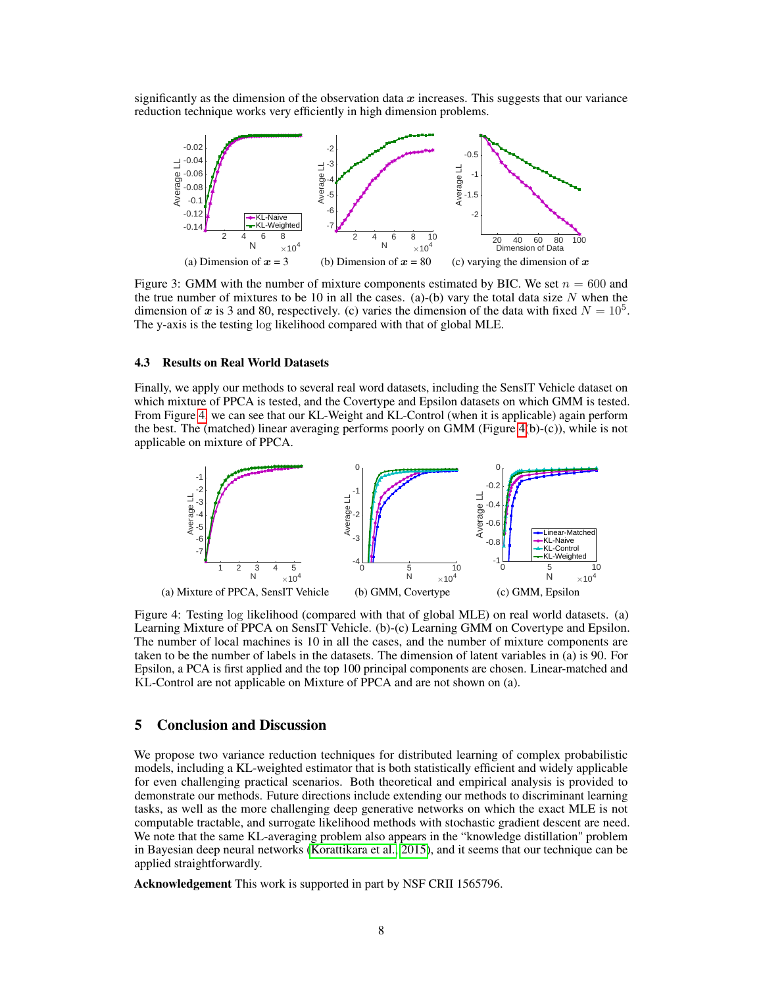significantly as the dimension of the observation data  $x$  increases. This suggests that our variance reduction technique works very efficiently in high dimension problems.



<span id="page-7-1"></span>Figure 3: GMM with the number of mixture components estimated by BIC. We set  $n = 600$  and the true number of mixtures to be 10 in all the cases. (a)-(b) vary the total data size  $N$  when the dimension of x is 3 and 80, respectively. (c) varies the dimension of the data with fixed  $N = 10^5$ . The y-axis is the testing log likelihood compared with that of global MLE.

## 4.3 Results on Real World Datasets

Finally, we apply our methods to several real word datasets, including the SensIT Vehicle dataset on which mixture of PPCA is tested, and the Covertype and Epsilon datasets on which GMM is tested. From Figure [4,](#page-7-2) we can see that our KL-Weight and KL-Control (when it is applicable) again perform the best. The (matched) linear averaging performs poorly on GMM (Figure [4\(](#page-7-2)b)-(c)), while is not applicable on mixture of PPCA.



<span id="page-7-2"></span>Figure 4: Testing log likelihood (compared with that of global MLE) on real world datasets. (a) Learning Mixture of PPCA on SensIT Vehicle. (b)-(c) Learning GMM on Covertype and Epsilon. The number of local machines is 10 in all the cases, and the number of mixture components are taken to be the number of labels in the datasets. The dimension of latent variables in (a) is 90. For Epsilon, a PCA is first applied and the top 100 principal components are chosen. Linear-matched and KL-Control are not applicable on Mixture of PPCA and are not shown on (a).

## <span id="page-7-0"></span>5 Conclusion and Discussion

We propose two variance reduction techniques for distributed learning of complex probabilistic models, including a KL-weighted estimator that is both statistically efficient and widely applicable for even challenging practical scenarios. Both theoretical and empirical analysis is provided to demonstrate our methods. Future directions include extending our methods to discriminant learning tasks, as well as the more challenging deep generative networks on which the exact MLE is not computable tractable, and surrogate likelihood methods with stochastic gradient descent are need. We note that the same KL-averaging problem also appears in the "knowledge distillation" problem in Bayesian deep neural networks [\(Korattikara et al., 2015\)](#page-8-16), and it seems that our technique can be applied straightforwardly.

Acknowledgement This work is supported in part by NSF CRII 1565796.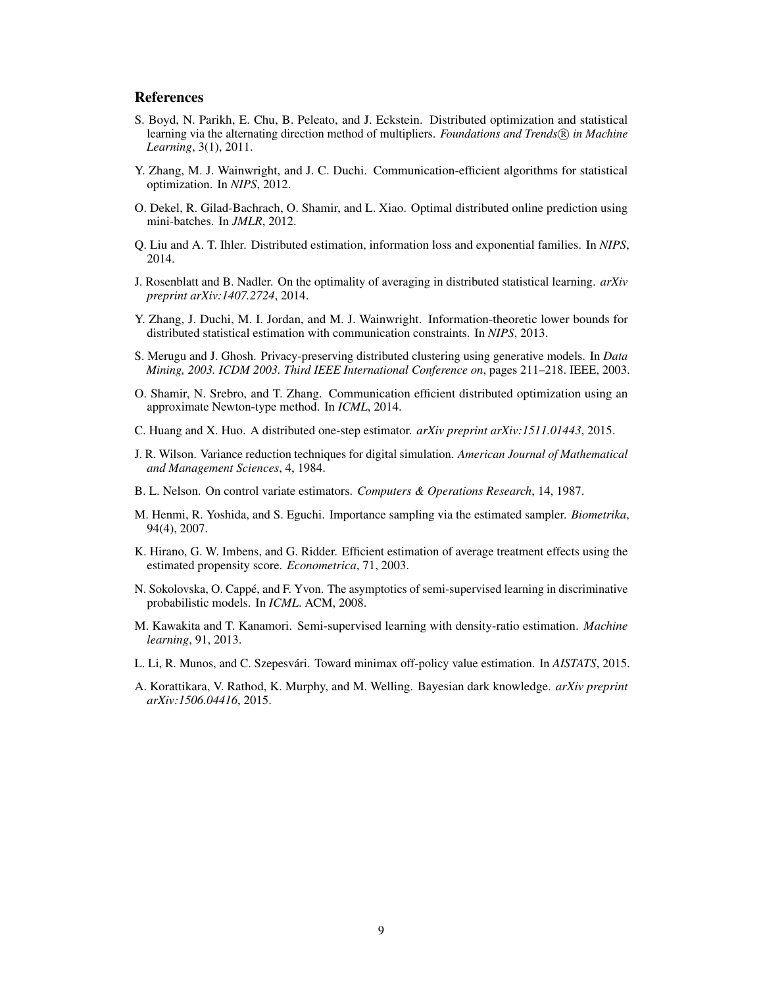## References

- <span id="page-8-0"></span>S. Boyd, N. Parikh, E. Chu, B. Peleato, and J. Eckstein. Distributed optimization and statistical learning via the alternating direction method of multipliers. *Foundations and Trends* ® *in Machine Learning*, 3(1), 2011.
- <span id="page-8-1"></span>Y. Zhang, M. J. Wainwright, and J. C. Duchi. Communication-efficient algorithms for statistical optimization. In *NIPS*, 2012.
- <span id="page-8-2"></span>O. Dekel, R. Gilad-Bachrach, O. Shamir, and L. Xiao. Optimal distributed online prediction using mini-batches. In *JMLR*, 2012.
- <span id="page-8-3"></span>Q. Liu and A. T. Ihler. Distributed estimation, information loss and exponential families. In *NIPS*, 2014.
- <span id="page-8-4"></span>J. Rosenblatt and B. Nadler. On the optimality of averaging in distributed statistical learning. *arXiv preprint arXiv:1407.2724*, 2014.
- <span id="page-8-5"></span>Y. Zhang, J. Duchi, M. I. Jordan, and M. J. Wainwright. Information-theoretic lower bounds for distributed statistical estimation with communication constraints. In *NIPS*, 2013.
- <span id="page-8-6"></span>S. Merugu and J. Ghosh. Privacy-preserving distributed clustering using generative models. In *Data Mining, 2003. ICDM 2003. Third IEEE International Conference on*, pages 211–218. IEEE, 2003.
- <span id="page-8-7"></span>O. Shamir, N. Srebro, and T. Zhang. Communication efficient distributed optimization using an approximate Newton-type method. In *ICML*, 2014.
- <span id="page-8-8"></span>C. Huang and X. Huo. A distributed one-step estimator. *arXiv preprint arXiv:1511.01443*, 2015.
- <span id="page-8-9"></span>J. R. Wilson. Variance reduction techniques for digital simulation. *American Journal of Mathematical and Management Sciences*, 4, 1984.
- <span id="page-8-10"></span>B. L. Nelson. On control variate estimators. *Computers & Operations Research*, 14, 1987.
- <span id="page-8-11"></span>M. Henmi, R. Yoshida, and S. Eguchi. Importance sampling via the estimated sampler. *Biometrika*, 94(4), 2007.
- <span id="page-8-12"></span>K. Hirano, G. W. Imbens, and G. Ridder. Efficient estimation of average treatment effects using the estimated propensity score. *Econometrica*, 71, 2003.
- <span id="page-8-13"></span>N. Sokolovska, O. Cappé, and F. Yvon. The asymptotics of semi-supervised learning in discriminative probabilistic models. In *ICML*. ACM, 2008.
- <span id="page-8-14"></span>M. Kawakita and T. Kanamori. Semi-supervised learning with density-ratio estimation. *Machine learning*, 91, 2013.
- <span id="page-8-15"></span>L. Li, R. Munos, and C. Szepesvári. Toward minimax off-policy value estimation. In *AISTATS*, 2015.
- <span id="page-8-16"></span>A. Korattikara, V. Rathod, K. Murphy, and M. Welling. Bayesian dark knowledge. *arXiv preprint arXiv:1506.04416*, 2015.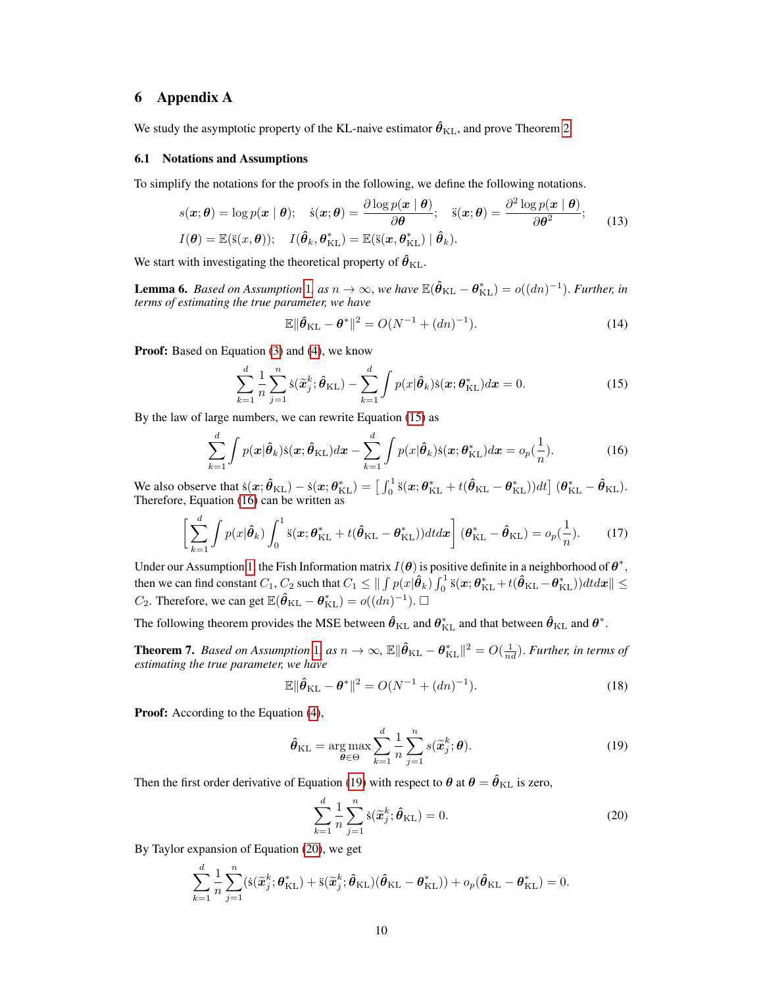# 6 Appendix A

We study the asymptotic property of the KL-naive estimator  $\hat{\theta}_{\text{KL}}$ , and prove Theorem [2.](#page-2-4)

## 6.1 Notations and Assumptions

To simplify the notations for the proofs in the following, we define the following notations.

$$
s(\mathbf{x}; \boldsymbol{\theta}) = \log p(\mathbf{x} \mid \boldsymbol{\theta}); \quad \dot{s}(\mathbf{x}; \boldsymbol{\theta}) = \frac{\partial \log p(\mathbf{x} \mid \boldsymbol{\theta})}{\partial \boldsymbol{\theta}}; \quad \ddot{s}(\mathbf{x}; \boldsymbol{\theta}) = \frac{\partial^2 \log p(\mathbf{x} \mid \boldsymbol{\theta})}{\partial \boldsymbol{\theta}^2};
$$
  

$$
I(\boldsymbol{\theta}) = \mathbb{E}(\ddot{s}(\mathbf{x}, \boldsymbol{\theta})); \quad I(\hat{\boldsymbol{\theta}}_k, \boldsymbol{\theta}_{\text{KL}}^*) = \mathbb{E}(\ddot{s}(\mathbf{x}, \boldsymbol{\theta}_{\text{KL}}^*) \mid \hat{\boldsymbol{\theta}}_k).
$$
 (13)

We start with investigating the theoretical property of  $\hat{\theta}_{\text{KL}}$ .

**Lemma 6.** *Based on Assumption* [1](#page-2-2)*, as*  $n \to \infty$ *, we have*  $\mathbb{E}(\hat{\theta}_{\rm KL} - \theta_{\rm KL}^*) = o((dn)^{-1})$ *. Further, in terms of estimating the true parameter, we have*

<span id="page-9-1"></span><span id="page-9-0"></span>
$$
\mathbb{E} \|\hat{\theta}_{\mathrm{KL}} - \theta^*\|^2 = O(N^{-1} + (dn)^{-1}).\tag{14}
$$

Proof: Based on Equation [\(3\)](#page-2-1) and [\(4\)](#page-2-3), we know

$$
\sum_{k=1}^{d} \frac{1}{n} \sum_{j=1}^{n} \dot{\mathbf{s}}(\tilde{\boldsymbol{x}}_{j}^{k}; \hat{\boldsymbol{\theta}}_{\mathrm{KL}}) - \sum_{k=1}^{d} \int p(x|\hat{\boldsymbol{\theta}}_{k}) \dot{\mathbf{s}}(\boldsymbol{x}; \boldsymbol{\theta}_{\mathrm{KL}}^{*}) d\boldsymbol{x} = 0.
$$
 (15)

By the law of large numbers, we can rewrite Equation [\(15\)](#page-9-0) as

$$
\sum_{k=1}^{d} \int p(\boldsymbol{x}|\hat{\boldsymbol{\theta}}_k) \dot{\mathbf{s}}(\boldsymbol{x};\hat{\boldsymbol{\theta}}_{\mathrm{KL}}) d\boldsymbol{x} - \sum_{k=1}^{d} \int p(\boldsymbol{x}|\hat{\boldsymbol{\theta}}_k) \dot{\mathbf{s}}(\boldsymbol{x};\boldsymbol{\theta}_{\mathrm{KL}}^*) d\boldsymbol{x} = o_p(\frac{1}{n}).
$$
 (16)

We also observe that  $\dot{s}(x; \hat{\theta}_{\text{KL}}) - \dot{s}(x; \theta_{\text{KL}}^*) = \left[ \int_0^1 \dot{s}(x; \theta_{\text{KL}}^* + t(\hat{\theta}_{\text{KL}} - \theta_{\text{KL}}^*) dt \right] (\theta_{\text{KL}}^* - \hat{\theta}_{\text{KL}}).$ Therefore, Equation [\(16\)](#page-9-1) can be written as

$$
\left[\sum_{k=1}^{d} \int p(x|\hat{\theta}_k) \int_0^1 \ddot{s}(x; \theta_{\text{KL}}^* + t(\hat{\theta}_{\text{KL}} - \theta_{\text{KL}}^*)) dt dx\right] (\theta_{\text{KL}}^* - \hat{\theta}_{\text{KL}}) = o_p(\frac{1}{n}).\tag{17}
$$

Under our Assumption [1,](#page-2-2) the Fish Information matrix  $I(\theta)$  is positive definite in a neighborhood of  $\theta^*$ , then we can find constant  $C_1$ ,  $C_2$  such that  $C_1\leq \|\int p(x|\hat{\bm{\theta}}_k)\int_0^1 \ddot{s}(\bm{x};\bm{\theta}^*_{\mathrm{KL}}+t(\hat{\bm{\theta}}_{\mathrm{KL}}-\bm{\theta}^*_{\mathrm{KL}}))dtd\bm{x}\|\leq$ *C*<sub>2</sub>. Therefore, we can get  $\mathbb{E}(\hat{\theta}_{KL} - \theta_{KL}^*) = o((dn)^{-1})$ .  $\Box$ 

The following theorem provides the MSE between  $\hat{\theta}_{\rm KL}$  and  $\theta^*_{\rm KL}$  and that between  $\hat{\theta}_{\rm KL}$  and  $\theta^*$ .

**Theorem 7.** *Based on Assumption* [1](#page-2-2), as  $n \to \infty$ ,  $\mathbb{E} \Vert \hat{\theta}_{\text{KL}} - \theta_{\text{KL}}^* \Vert^2 = O(\frac{1}{nd})$ . *Further, in terms of estimating the true parameter, we have*

$$
\mathbb{E} \|\hat{\theta}_{\mathrm{KL}} - \theta^*\|^2 = O(N^{-1} + (dn)^{-1}).
$$
\n(18)

Proof: According to the Equation  $(4)$ ,

<span id="page-9-2"></span>
$$
\hat{\boldsymbol{\theta}}_{\text{KL}} = \underset{\boldsymbol{\theta} \in \Theta}{\arg \max} \sum_{k=1}^{d} \frac{1}{n} \sum_{j=1}^{n} s(\tilde{\boldsymbol{x}}_{j}^{k}; \boldsymbol{\theta}). \tag{19}
$$

Then the first order derivative of Equation [\(19\)](#page-9-2) with respect to  $\theta$  at  $\theta = \hat{\theta}_{\text{KL}}$  is zero,

<span id="page-9-3"></span>
$$
\sum_{k=1}^{d} \frac{1}{n} \sum_{j=1}^{n} \dot{\mathbf{s}}(\widetilde{\boldsymbol{x}}_{j}^{k}; \widehat{\boldsymbol{\theta}}_{\text{KL}}) = 0.
$$
 (20)

By Taylor expansion of Equation [\(20\)](#page-9-3), we get

$$
\sum_{k=1}^d \frac{1}{n} \sum_{j=1}^n (\dot{s}(\widetilde{\boldsymbol{x}}_j^k; \boldsymbol{\theta}_{\text{KL}}^*) + \ddot{s}(\widetilde{\boldsymbol{x}}_j^k; \hat{\boldsymbol{\theta}}_{\text{KL}}) (\hat{\boldsymbol{\theta}}_{\text{KL}} - \boldsymbol{\theta}_{\text{KL}}^*)) + o_p(\hat{\boldsymbol{\theta}}_{\text{KL}} - \boldsymbol{\theta}_{\text{KL}}^*) = 0.
$$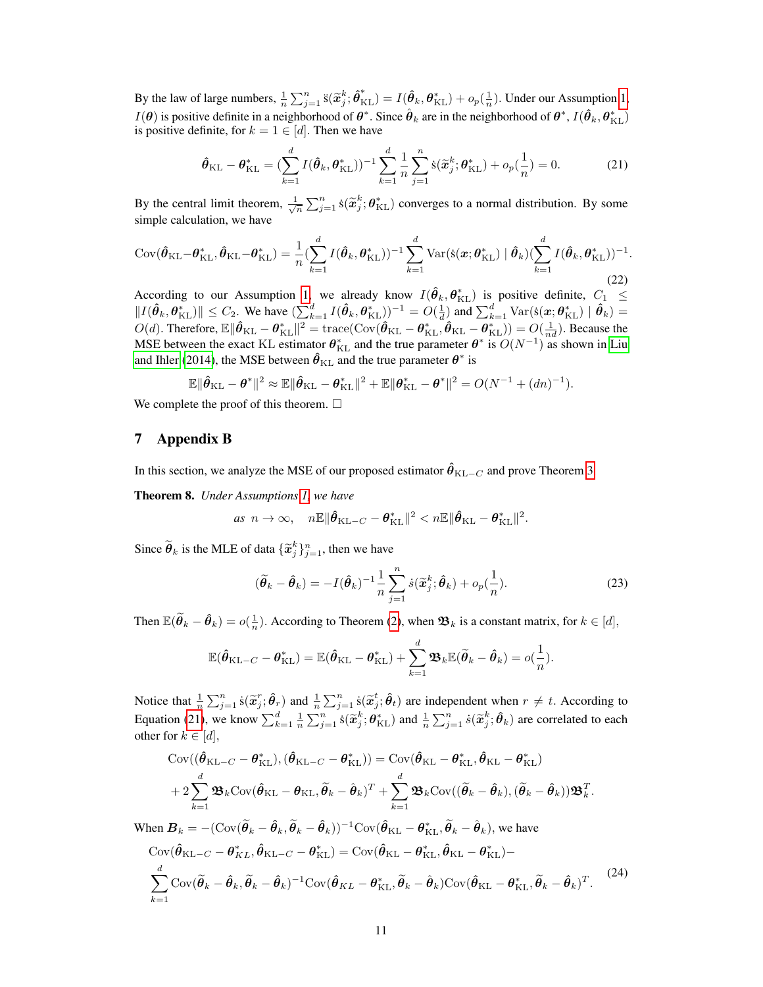By the law of large numbers,  $\frac{1}{n} \sum_{j=1}^{n} \ddot{s}(\tilde{\boldsymbol{x}}_j^k; \hat{\boldsymbol{\theta}}_{\text{KL}}^*) = I(\hat{\boldsymbol{\theta}}_k, \boldsymbol{\theta}_{\text{KL}}^*) + o_p(\frac{1}{n})$ . Under our Assumption [1,](#page-2-2)  $I(\theta)$  is positive definite in a neighborhood of  $\theta^*$ . Since  $\hat{\theta}_k$  are in the neighborhood of  $\theta^*$ ,  $I(\hat{\theta}_k, \theta^*_{\rm KL})$ is positive definite, for  $k = 1 \in [d]$ . Then we have

<span id="page-10-3"></span><span id="page-10-0"></span>
$$
\hat{\theta}_{\text{KL}} - \theta_{\text{KL}}^* = (\sum_{k=1}^d I(\hat{\theta}_k, \theta_{\text{KL}}^*))^{-1} \sum_{k=1}^d \frac{1}{n} \sum_{j=1}^n \dot{s}(\tilde{x}_j^k; \theta_{\text{KL}}^*) + o_p(\frac{1}{n}) = 0.
$$
 (21)

By the central limit theorem,  $\frac{1}{\sqrt{n}} \sum_{j=1}^{n} \dot{s}(\tilde{\boldsymbol{x}}_j^k; \boldsymbol{\theta}_{\text{KL}}^*)$  converges to a normal distribution. By some simple calculation, we have

$$
Cov(\hat{\theta}_{KL} - \theta_{KL}^*, \hat{\theta}_{KL} - \theta_{KL}^*) = \frac{1}{n} (\sum_{k=1}^d I(\hat{\theta}_k, \theta_{KL}^*))^{-1} \sum_{k=1}^d Var(\hat{s}(\mathbf{x}; \theta_{KL}^*) | \hat{\theta}_k) (\sum_{k=1}^d I(\hat{\theta}_k, \theta_{KL}^*))^{-1}.
$$
\n(22)

According to our Assumption [1,](#page-2-2) we already know  $I(\hat{\theta}_k, \theta_{\text{KL}}^*)$  is positive definite,  $C_1 \leq$  $\|I(\hat{\theta}_k, \theta_{\text{KL}}^*)\| \leq C_2$ . We have  $(\sum_{k=1}^d I(\hat{\theta}_k, \theta_{\text{KL}}^*) )^{-1} = O(\frac{1}{d})$  and  $\sum_{k=1}^d \text{Var}(\dot{s}(\mathbf{x}; \theta_{\text{KL}}^*) | \hat{\theta}_k)$  $O(d)$ . Therefore,  $\mathbb{E} \Vert \hat{\theta}_{\text{KL}} - \theta_{\text{KL}}^* \Vert^2 = \text{trace}(\text{Cov}(\hat{\theta}_{\text{KL}} - \theta_{\text{KL}}^*, \hat{\theta}_{\text{KL}} - \theta_{\text{KL}}^*) ) = O(\frac{1}{nd})$ . Because the MSE between the exact KL estimator  $\theta_{\text{KL}}^*$  and the true parameter  $\theta^*$  is  $O(N^{-1})$  as shown in [Liu](#page-8-3) [and Ihler](#page-8-3) [\(2014\)](#page-8-3), the MSE between  $\hat{\theta}_{\rm KL}$  and the true parameter  $\theta^*$  is

$$
\mathbb{E}\|\hat{\theta}_{\mathrm{KL}}-\theta^*\|^2 \approx \mathbb{E}\|\hat{\theta}_{\mathrm{KL}}-\theta^*_{\mathrm{KL}}\|^2 + \mathbb{E}\|\theta^*_{\mathrm{KL}}-\theta^*\|^2 = O(N^{-1}+(dn)^{-1}).
$$

We complete the proof of this theorem.  $\Box$ 

# 7 Appendix B

In this section, we analyze the MSE of our proposed estimator  $\hat{\theta}_{KL-C}$  and prove Theorem [3.](#page-3-3)

Theorem 8. *Under Assumptions [1,](#page-2-2) we have*

as 
$$
n \to \infty
$$
,  $n \mathbb{E} \|\hat{\boldsymbol{\theta}}_{\mathrm{KL}-C} - \boldsymbol{\theta}_{\mathrm{KL}}^* \|^2 < n \mathbb{E} \|\hat{\boldsymbol{\theta}}_{\mathrm{KL}} - \boldsymbol{\theta}_{\mathrm{KL}}^* \|^2$ .

Since  $\widetilde{\theta}_k$  is the MLE of data  $\{\widetilde{x}_j^k\}_{j=1}^n$ , then we have

<span id="page-10-2"></span>
$$
(\widetilde{\boldsymbol{\theta}}_k - \widehat{\boldsymbol{\theta}}_k) = -I(\widehat{\boldsymbol{\theta}}_k)^{-1} \frac{1}{n} \sum_{j=1}^n \dot{s}(\widetilde{\boldsymbol{x}}_j^k; \widehat{\boldsymbol{\theta}}_k) + o_p(\frac{1}{n}).
$$
\n(23)

Then  $\mathbb{E}(\widetilde{\theta}_k - \widehat{\theta}_k) = o(\frac{1}{n})$ . According to Theorem [\(2\)](#page-2-4), when  $\mathfrak{B}_k$  is a constant matrix, for  $k \in [d]$ ,

<span id="page-10-1"></span>
$$
\mathbb{E}(\hat{\theta}_{\mathrm{KL}-C}-\theta_{\mathrm{KL}}^*)=\mathbb{E}(\hat{\theta}_{\mathrm{KL}}-\theta_{\mathrm{KL}}^*)+\sum_{k=1}^d\mathbf{\mathfrak{B}}_k\mathbb{E}(\widetilde{\theta}_k-\hat{\theta}_k)=o(\frac{1}{n}).
$$

Notice that  $\frac{1}{n} \sum_{j=1}^{n} s(\tilde{x}_j^t; \hat{\theta}_r)$  and  $\frac{1}{n} \sum_{j=1}^{n} s(\tilde{x}_j^t; \hat{\theta}_t)$  are independent when  $r \neq t$ . According to Equation [\(21\)](#page-10-0), we know  $\sum_{k=1}^d \frac{1}{n} \sum_{j=1}^n \dot{s}(\tilde{x}_j^k; \theta_{KL}^*)$  and  $\frac{1}{n} \sum_{j=1}^n \dot{s}(\tilde{x}_j^k; \hat{\theta}_k)$  are correlated to each other for  $k \in [d]$ ,

$$
\text{Cov}((\hat{\theta}_{\text{KL}-C} - \theta_{\text{KL}}^*), (\hat{\theta}_{\text{KL}-C} - \theta_{\text{KL}}^*)) = \text{Cov}(\hat{\theta}_{\text{KL}} - \theta_{\text{KL}}^*, \hat{\theta}_{\text{KL}} - \theta_{\text{KL}}^*)
$$
  
+ 2 $\sum_{k=1}^d \mathbf{\mathfrak{B}}_k \text{Cov}(\hat{\theta}_{\text{KL}} - \theta_{\text{KL}}, \tilde{\theta}_k - \hat{\theta}_k)^T + \sum_{k=1}^d \mathbf{\mathfrak{B}}_k \text{Cov}((\tilde{\theta}_k - \hat{\theta}_k), (\tilde{\theta}_k - \hat{\theta}_k)) \mathbf{\mathfrak{B}}_k^T.$ 

When 
$$
B_k = -(\text{Cov}(\widetilde{\theta}_k - \hat{\theta}_k, \widetilde{\theta}_k - \hat{\theta}_k))^{-1} \text{Cov}(\hat{\theta}_{KL} - \theta_{KL}^*, \widetilde{\theta}_k - \hat{\theta}_k)
$$
, we have  
\n
$$
\text{Cov}(\hat{\theta}_{KL-C} - \theta_{KL}^*, \hat{\theta}_{KL-C} - \theta_{KL}^*) = \text{Cov}(\hat{\theta}_{KL} - \theta_{KL}^*, \hat{\theta}_{KL} - \theta_{KL}^*) -
$$
\n
$$
\sum_{k=1}^d \text{Cov}(\widetilde{\theta}_k - \hat{\theta}_k, \widetilde{\theta}_k - \hat{\theta}_k)^{-1} \text{Cov}(\hat{\theta}_{KL} - \theta_{KL}^*, \widetilde{\theta}_k - \hat{\theta}_k) \text{Cov}(\hat{\theta}_{KL} - \theta_{KL}^*, \widetilde{\theta}_k - \hat{\theta}_k)^T. \tag{24}
$$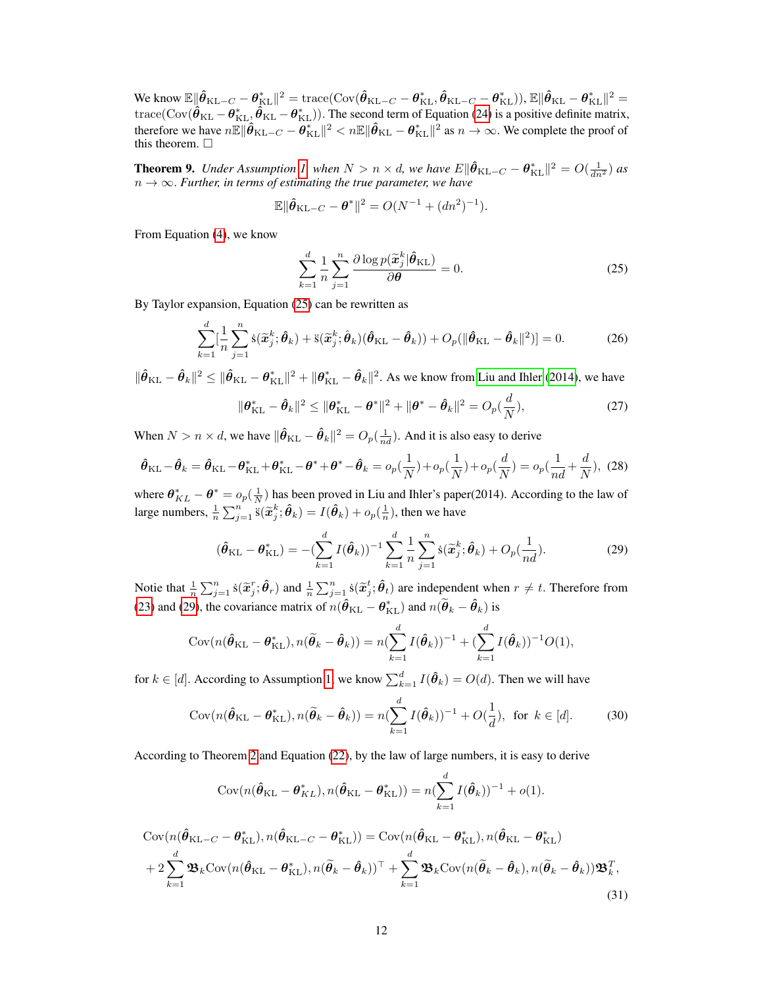We know  $\mathbb{E}\|\hat{\theta}_{\mathrm{KL}-C}-\theta_{\mathrm{KL}}^*\|^2=\mathrm{trace}(\mathrm{Cov}(\hat{\theta}_{\mathrm{KL}-C}-\theta_{\mathrm{KL}}^*,\hat{\theta}_{\mathrm{KL}-C}-\theta_{\mathrm{KL}}^*)), \mathbb{E}\|\hat{\theta}_{\mathrm{KL}}-\theta_{\mathrm{KL}}^*\|^2=$ trace( $\text{Cov}(\hat{\theta}_{\text{KL}} - \theta_{\text{KL}}^*, \hat{\theta}_{\text{KL}} - \theta_{\text{KL}}^*)$ ). The second term of Equation [\(24\)](#page-10-1) is a positive definite matrix, therefore we have  $n\mathbb{E}\|\hat{\bm{\theta}}_{\mathrm{KL}-C}-\bm{\theta}^*_{\mathrm{KL}}\|^2 < n\mathbb{E}\|\hat{\bm{\theta}}_{\mathrm{KL}}-\bm{\theta}^*_{\mathrm{KL}}\|^2$  as  $n\to\infty.$  We complete the proof of this theorem.  $\square$ 

<span id="page-11-0"></span>**Theorem 9.** *Under Assumption [1,](#page-2-2) when*  $N > n \times d$ , we have  $E\Vert \hat{\theta}_{KL-C} - \theta_{KL}^* \Vert^2 = O(\frac{1}{dn^2})$  as  $n \to \infty$ . *Further, in terms of estimating the true parameter, we have* 

<span id="page-11-1"></span>
$$
\mathbb{E} \|\hat{\theta}_{\text{KL}-C} - \theta^*\|^2 = O(N^{-1} + (dn^2)^{-1}).
$$

From Equation [\(4\)](#page-2-3), we know

<span id="page-11-4"></span><span id="page-11-3"></span>
$$
\sum_{k=1}^{d} \frac{1}{n} \sum_{j=1}^{n} \frac{\partial \log p(\widetilde{\boldsymbol{x}}_{j}^{k} | \hat{\boldsymbol{\theta}}_{\text{KL}})}{\partial \boldsymbol{\theta}} = 0.
$$
 (25)

By Taylor expansion, Equation [\(25\)](#page-11-1) can be rewritten as

$$
\sum_{k=1}^{d} \left[\frac{1}{n}\sum_{j=1}^{n}\dot{\mathbf{s}}(\tilde{\boldsymbol{x}}_{j}^{k};\hat{\boldsymbol{\theta}}_{k}) + \ddot{\mathbf{s}}(\tilde{\boldsymbol{x}}_{j}^{k};\hat{\boldsymbol{\theta}}_{k})(\hat{\boldsymbol{\theta}}_{\mathrm{KL}} - \hat{\boldsymbol{\theta}}_{k})) + O_{p}(\|\hat{\boldsymbol{\theta}}_{\mathrm{KL}} - \hat{\boldsymbol{\theta}}_{k}\|^{2})\right] = 0.
$$
 (26)

 $\|\hat{\theta}_{\rm KL}-\hat{\theta}_k\|^2 \leq \|\hat{\theta}_{\rm KL}-\theta_{\rm KL}^*\|^2 + \|\theta_{\rm KL}^* - \hat{\theta}_k\|^2$ . As we know from [Liu and Ihler](#page-8-3) [\(2014\)](#page-8-3), we have

$$
\|\boldsymbol{\theta}_{\text{KL}}^* - \hat{\boldsymbol{\theta}}_k\|^2 \le \|\boldsymbol{\theta}_{\text{KL}}^* - \boldsymbol{\theta}^*\|^2 + \|\boldsymbol{\theta}^* - \hat{\boldsymbol{\theta}}_k\|^2 = O_p(\frac{d}{N}),
$$
 (27)

When  $N > n \times d$ , we have  $\|\hat{\theta}_{KL} - \hat{\theta}_k\|^2 = O_p(\frac{1}{nd})$ . And it is also easy to derive

$$
\hat{\boldsymbol{\theta}}_{\mathrm{KL}} - \hat{\boldsymbol{\theta}}_k = \hat{\boldsymbol{\theta}}_{\mathrm{KL}} - \boldsymbol{\theta}_{\mathrm{KL}}^* + \boldsymbol{\theta}_{\mathrm{KL}}^* - \boldsymbol{\theta}^* + \boldsymbol{\theta}^* - \hat{\boldsymbol{\theta}}_k = o_p(\frac{1}{N}) + o_p(\frac{1}{N}) + o_p(\frac{d}{N}) = o_p(\frac{1}{nd} + \frac{d}{N}),
$$
(28)

where  $\theta_{KL}^* - \theta^* = o_p(\frac{1}{N})$  has been proved in Liu and Ihler's paper(2014). According to the law of large numbers,  $\frac{1}{n} \sum_{j=1}^n \ddot{s}(\widetilde{x}_j^k; \hat{\theta}_k) = I(\hat{\theta}_k) + o_p(\frac{1}{n})$ , then we have

<span id="page-11-2"></span>
$$
(\hat{\theta}_{\text{KL}} - \theta_{\text{KL}}^*) = -(\sum_{k=1}^d I(\hat{\theta}_k))^{-1} \sum_{k=1}^d \frac{1}{n} \sum_{j=1}^n \dot{s}(\tilde{x}_j^k; \hat{\theta}_k) + O_p(\frac{1}{nd}).
$$
 (29)

Notie that  $\frac{1}{n} \sum_{j=1}^n \dot{s}(\tilde{x}_j^r; \hat{\theta}_r)$  and  $\frac{1}{n} \sum_{j=1}^n \dot{s}(\tilde{x}_j^t; \hat{\theta}_t)$  are independent when  $r \neq t$ . Therefore from [\(23\)](#page-10-2) and [\(29\)](#page-11-2), the covariance matrix of  $n(\hat{\theta}_{KL} - \theta_{KL}^*)$  and  $n(\tilde{\theta}_k - \hat{\theta}_k)$  is

$$
Cov(n(\hat{\boldsymbol{\theta}}_{\mathrm{KL}} - \boldsymbol{\theta}_{\mathrm{KL}}^*), n(\widetilde{\boldsymbol{\theta}}_k - \hat{\boldsymbol{\theta}}_k)) = n(\sum_{k=1}^d I(\hat{\boldsymbol{\theta}}_k))^{-1} + (\sum_{k=1}^d I(\hat{\boldsymbol{\theta}}_k))^{-1} O(1),
$$

for  $k \in [d]$ . According to Assumption [1,](#page-2-2) we know  $\sum_{k=1}^{d} I(\hat{\theta}_k) = O(d)$ . Then we will have

$$
Cov(n(\hat{\boldsymbol{\theta}}_{KL} - \boldsymbol{\theta}_{KL}^*), n(\widetilde{\boldsymbol{\theta}}_k - \hat{\boldsymbol{\theta}}_k)) = n(\sum_{k=1}^d I(\hat{\boldsymbol{\theta}}_k))^{-1} + O(\frac{1}{d}), \text{ for } k \in [d].
$$
 (30)

According to Theorem [2](#page-2-4) and Equation [\(22\)](#page-10-3), by the law of large numbers, it is easy to derive

$$
Cov(n(\hat{\boldsymbol{\theta}}_{\mathrm{KL}} - \boldsymbol{\theta}_{KL}^*), n(\hat{\boldsymbol{\theta}}_{\mathrm{KL}} - \boldsymbol{\theta}_{\mathrm{KL}}^*)) = n(\sum_{k=1}^d I(\hat{\boldsymbol{\theta}}_k))^{-1} + o(1).
$$

$$
\text{Cov}(n(\hat{\theta}_{\text{KL}-C} - \theta_{\text{KL}}^*), n(\hat{\theta}_{\text{KL}-C} - \theta_{\text{KL}}^*)) = \text{Cov}(n(\hat{\theta}_{\text{KL}} - \theta_{\text{KL}}^*), n(\hat{\theta}_{\text{KL}} - \theta_{\text{KL}}^*)
$$
  
+2 $\sum_{k=1}^d \mathbf{\mathfrak{B}}_k \text{Cov}(n(\hat{\theta}_{\text{KL}} - \theta_{\text{KL}}^*), n(\tilde{\theta}_k - \hat{\theta}_k))^{\top} + \sum_{k=1}^d \mathbf{\mathfrak{B}}_k \text{Cov}(n(\tilde{\theta}_k - \hat{\theta}_k), n(\tilde{\theta}_k - \hat{\theta}_k)) \mathbf{\mathfrak{B}}_k^T, \tag{31}$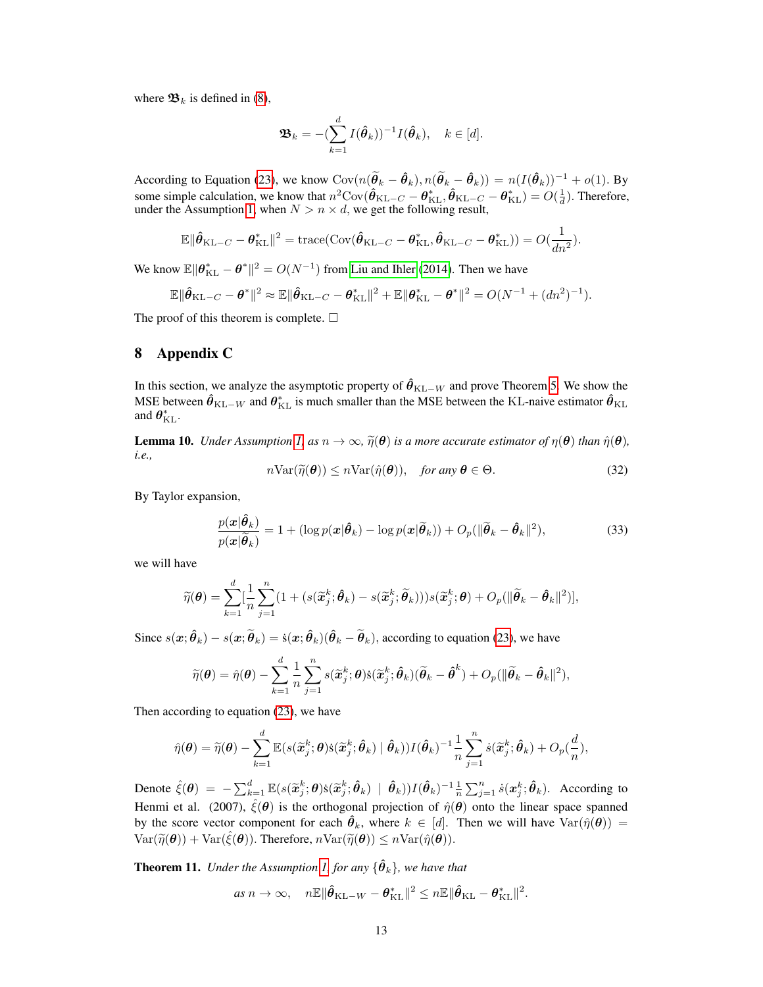where  $\mathfrak{B}_k$  is defined in [\(8\)](#page-3-2),

$$
\mathbf{\mathfrak{B}}_k = -(\sum_{k=1}^d I(\hat{\boldsymbol{\theta}}_k))^{-1} I(\hat{\boldsymbol{\theta}}_k), \quad k \in [d].
$$

According to Equation [\(23\)](#page-10-2), we know  $Cov(n(\tilde{\theta}_k - \hat{\theta}_k), n(\tilde{\theta}_k - \hat{\theta}_k)) = n(I(\hat{\theta}_k))^{-1} + o(1)$ . By some simple calculation, we know that  $n^2 \text{Cov}(\hat{\theta}_{\text{KL}-C} - \theta_{\text{KL}}^*, \hat{\theta}_{\text{KL}-C} - \theta_{\text{KL}}^*) = O(\frac{1}{d})$ . Therefore, under the Assumption [1,](#page-2-2) when  $N > n \times d$ , we get the following result,

$$
\mathbb{E} \|\hat{\boldsymbol{\theta}}_{\mathrm{KL}-C} - \boldsymbol{\theta}_{\mathrm{KL}}^*\|^2 = \mathrm{trace}(\mathrm{Cov}(\hat{\boldsymbol{\theta}}_{\mathrm{KL}-C} - \boldsymbol{\theta}_{\mathrm{KL}}^*, \hat{\boldsymbol{\theta}}_{\mathrm{KL}-C} - \boldsymbol{\theta}_{\mathrm{KL}}^*)) = O(\frac{1}{dn^2}).
$$

We know  $\mathbb{E} \|\boldsymbol{\theta}_{\mathrm{KL}}^* - \boldsymbol{\theta}^*\|^2 = O(N^{-1})$  from [Liu and Ihler](#page-8-3) [\(2014\)](#page-8-3). Then we have

$$
\mathbb{E}\|\hat{\boldsymbol{\theta}}_{\mathrm{KL}-C}-\boldsymbol{\theta}^*\|^2 \approx \mathbb{E}\|\hat{\boldsymbol{\theta}}_{\mathrm{KL}-C}-\boldsymbol{\theta}_{\mathrm{KL}}^*\|^2 + \mathbb{E}\|\boldsymbol{\theta}_{\mathrm{KL}}^*-\boldsymbol{\theta}^*\|^2 = O(N^{-1}+(dn^2)^{-1}).
$$

The proof of this theorem is complete.  $\Box$ 

# 8 Appendix C

In this section, we analyze the asymptotic property of  $\hat{\theta}_{KL-W}$  and prove Theorem [5.](#page-4-2) We show the MSE between  $\hat{\theta}_{\rm KL-W}$  and  $\theta_{\rm KL}^*$  is much smaller than the MSE between the KL-naive estimator  $\hat{\theta}_{\rm KL}$ and  $\boldsymbol{\theta}_{\mathrm{KL}}^*$ .

**Lemma 10.** *Under Assumption [1,](#page-2-2) as*  $n \to \infty$ ,  $\tilde{\eta}(\theta)$  *is a more accurate estimator of*  $\eta(\theta)$  *than*  $\hat{\eta}(\theta)$ *, i.e.,*

$$
n\text{Var}(\widetilde{\eta}(\boldsymbol{\theta})) \le n\text{Var}(\hat{\eta}(\boldsymbol{\theta})), \quad \text{for any } \boldsymbol{\theta} \in \Theta. \tag{32}
$$

By Taylor expansion,

$$
\frac{p(\boldsymbol{x}|\boldsymbol{\hat{\theta}}_k)}{p(\boldsymbol{x}|\boldsymbol{\tilde{\theta}}_k)} = 1 + (\log p(\boldsymbol{x}|\boldsymbol{\hat{\theta}}_k) - \log p(\boldsymbol{x}|\boldsymbol{\tilde{\theta}}_k)) + O_p(\|\boldsymbol{\tilde{\theta}}_k - \boldsymbol{\hat{\theta}}_k\|^2),
$$
\n(33)

we will have

$$
\widetilde{\eta}(\boldsymbol{\theta}) = \sum_{k=1}^d [\frac{1}{n} \sum_{j=1}^n (1 + (s(\widetilde{\boldsymbol{x}}_j^k; \widehat{\boldsymbol{\theta}}_k) - s(\widetilde{\boldsymbol{x}}_j^k; \widetilde{\boldsymbol{\theta}}_k))) s(\widetilde{\boldsymbol{x}}_j^k; \boldsymbol{\theta}) + O_p(\|\widetilde{\boldsymbol{\theta}}_k - \widehat{\boldsymbol{\theta}}_k\|^2)],
$$

Since  $s(x; \hat{\theta}_k) - s(x; \tilde{\theta}_k) = \dot{s}(x; \hat{\theta}_k)(\hat{\theta}_k - \tilde{\theta}_k)$ , according to equation [\(23\)](#page-10-2), we have

$$
\widetilde{\eta}(\boldsymbol{\theta}) = \hat{\eta}(\boldsymbol{\theta}) - \sum_{k=1}^d \frac{1}{n} \sum_{j=1}^n s(\widetilde{\boldsymbol{x}}_j^k; \boldsymbol{\theta}) \dot{s}(\widetilde{\boldsymbol{x}}_j^k; \hat{\boldsymbol{\theta}}_k) (\widetilde{\boldsymbol{\theta}}_k - \hat{\boldsymbol{\theta}}^k) + O_p(\|\widetilde{\boldsymbol{\theta}}_k - \hat{\boldsymbol{\theta}}_k\|^2),
$$

Then according to equation [\(23\)](#page-10-2), we have

$$
\hat{\eta}(\boldsymbol{\theta}) = \widetilde{\eta}(\boldsymbol{\theta}) - \sum_{k=1}^d \mathbb{E}(s(\widetilde{\boldsymbol{x}}_j^k; \boldsymbol{\theta})\dot{s}(\widetilde{\boldsymbol{x}}_j^k; \hat{\boldsymbol{\theta}}_k) | \hat{\boldsymbol{\theta}}_k))I(\hat{\boldsymbol{\theta}}_k)^{-1} \frac{1}{n} \sum_{j=1}^n \dot{s}(\widetilde{\boldsymbol{x}}_j^k; \hat{\boldsymbol{\theta}}_k) + O_p(\frac{d}{n}),
$$

Denote  $\hat{\xi}(\theta) = -\sum_{k=1}^d \mathbb{E}(s(\tilde{x}_j^k; \theta) s(\tilde{x}_j^k; \hat{\theta}_k) + \hat{\theta}_k) I(\hat{\theta}_k)^{-1} \frac{1}{n} \sum_{j=1}^n s(x_j^k; \hat{\theta}_k)$ . According to Henmi et al. (2007),  $\hat{\xi}(\theta)$  is the orthogonal projection of  $\hat{\eta}(\theta)$  onto the linear space spanned by the score vector component for each  $\hat{\theta}_k$ , where  $k \in [d]$ . Then we will have  $\text{Var}(\hat{\eta}(\theta))$  =  $Var(\tilde{\eta}(\boldsymbol{\theta})) + Var(\hat{\xi}(\boldsymbol{\theta}))$ . Therefore,  $nVar(\tilde{\eta}(\boldsymbol{\theta})) \leq nVar(\hat{\eta}(\boldsymbol{\theta}))$ .

**Theorem 11.** *Under the Assumption [1,](#page-2-2) for any*  $\{\hat{\theta}_k\}$ *, we have that* 

as 
$$
n \to \infty
$$
,  $n \mathbb{E} \|\hat{\theta}_{\mathrm{KL}-W} - \theta_{\mathrm{KL}}^*\|^2 \le n \mathbb{E} \|\hat{\theta}_{\mathrm{KL}} - \theta_{\mathrm{KL}}^*\|^2$ .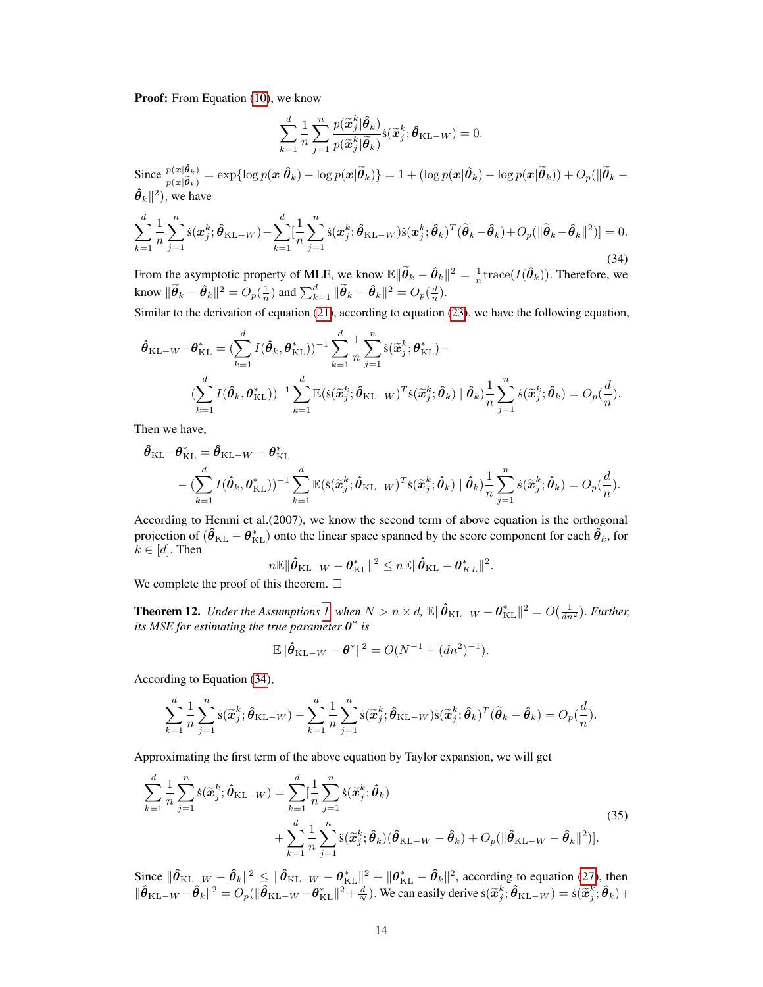**Proof:** From Equation [\(10\)](#page-4-1), we know

$$
\sum_{k=1}^d \frac{1}{n} \sum_{j=1}^n \frac{p(\widetilde{\mathbf{x}}_j^k | \widehat{\boldsymbol{\theta}}_k)}{p(\widetilde{\mathbf{x}}_j^k | \widetilde{\boldsymbol{\theta}}_k)} \dot{\mathbf{s}}(\widetilde{\mathbf{x}}_j^k; \widehat{\boldsymbol{\theta}}_{\mathrm{KL}-W}) = 0.
$$

<span id="page-13-0"></span>Since  $\frac{p(x|\hat{\theta}_k)}{p(x|\tilde{\theta}_k)} = \exp\{\log p(x|\hat{\theta}_k) - \log p(x|\tilde{\theta}_k)\} = 1 + (\log p(x|\hat{\theta}_k) - \log p(x|\tilde{\theta}_k)) + O_p(\|\tilde{\theta}_k - \tilde{\theta}_k\|_2)\}$  $\hat{\boldsymbol{\theta}}_k\|^2$ ), we have

$$
\sum_{k=1}^{d} \frac{1}{n} \sum_{j=1}^{n} \dot{s}(\boldsymbol{x}_{j}^{k}; \hat{\boldsymbol{\theta}}_{\mathrm{KL}-W}) - \sum_{k=1}^{d} [\frac{1}{n} \sum_{j=1}^{n} \dot{s}(\boldsymbol{x}_{j}^{k}; \hat{\boldsymbol{\theta}}_{\mathrm{KL}-W}) \dot{s}(\boldsymbol{x}_{j}^{k}; \hat{\boldsymbol{\theta}}_{k})^{T} (\tilde{\boldsymbol{\theta}}_{k} - \hat{\boldsymbol{\theta}}_{k}) + O_{p}(\|\tilde{\boldsymbol{\theta}}_{k} - \hat{\boldsymbol{\theta}}_{k}\|^{2})] = 0.
$$
\n(34)

From the asymptotic property of MLE, we know  $\mathbb{E} \|\tilde{\theta}_k - \hat{\theta}_k\|^2 = \frac{1}{n} \text{trace}(I(\hat{\theta}_k))$ . Therefore, we know  $\|\widetilde{\theta}_k - \hat{\theta}_k\|^2 = O_p(\frac{1}{n})$  and  $\sum_{k=1}^d \|\widetilde{\theta}_k - \hat{\theta}_k\|^2 = O_p(\frac{d}{n})$ .

Similar to the derivation of equation [\(21\)](#page-10-0), according to equation [\(23\)](#page-10-2), we have the following equation,

$$
\hat{\theta}_{\text{KL}-W} - \theta_{\text{KL}}^* = \left( \sum_{k=1}^d I(\hat{\theta}_k, \theta_{\text{KL}}^*) \right)^{-1} \sum_{k=1}^d \frac{1}{n} \sum_{j=1}^n \dot{s}(\tilde{x}_j^k; \theta_{\text{KL}}^*) -
$$
\n
$$
\left( \sum_{k=1}^d I(\hat{\theta}_k, \theta_{\text{KL}}^*) \right)^{-1} \sum_{k=1}^d \mathbb{E}(\dot{s}(\tilde{x}_j^k; \hat{\theta}_{\text{KL}-W})^T \dot{s}(\tilde{x}_j^k; \hat{\theta}_k) \mid \hat{\theta}_k) \frac{1}{n} \sum_{j=1}^n \dot{s}(\tilde{x}_j^k; \hat{\theta}_k) = O_p(\frac{d}{n}).
$$

Then we have,

$$
\hat{\theta}_{\mathrm{KL}} - \theta_{\mathrm{KL}}^* = \hat{\theta}_{\mathrm{KL}-W} - \theta_{\mathrm{KL}}^*
$$
\n
$$
- (\sum_{k=1}^d I(\hat{\theta}_k, \theta_{\mathrm{KL}}^*))^{-1} \sum_{k=1}^d \mathbb{E}(\hat{\mathbf{s}}(\tilde{\mathbf{x}}_j^k; \hat{\theta}_{\mathrm{KL}-W})^T \hat{\mathbf{s}}(\tilde{\mathbf{x}}_j^k; \hat{\theta}_k) | \hat{\theta}_k) \frac{1}{n} \sum_{j=1}^n \hat{\mathbf{s}}(\tilde{\mathbf{x}}_j^k; \hat{\theta}_k) = O_p(\frac{d}{n}).
$$

According to Henmi et al.(2007), we know the second term of above equation is the orthogonal projection of  $(\hat{\theta}_{\rm KL}-\theta^*_{\rm KL})$  onto the linear space spanned by the score component for each  $\hat{\theta_k}$ , for  $k \in [d]$ . Then

$$
n \mathbb{E} \|\hat{\boldsymbol{\theta}}_{\mathrm{KL}-W} - \boldsymbol{\theta}_{\mathrm{KL}}^*\|^2 \leq n \mathbb{E} \|\hat{\boldsymbol{\theta}}_{\mathrm{KL}} - \boldsymbol{\theta}_{KL}^*\|^2.
$$

We complete the proof of this theorem.  $\Box$ 

**Theorem 12.** *Under the Assumptions [1,](#page-2-2) when*  $N > n \times d$ ,  $\mathbb{E} \Vert \hat{\theta}_{KL-W} - \theta_{KL}^* \Vert^2 = O(\frac{1}{dn^2})$ *. Further,* its MSE for estimating the true parameter  $\theta^*$  is

$$
\mathbb{E} \|\hat{\theta}_{\text{KL}-W} - \theta^*\|^2 = O(N^{-1} + (dn^2)^{-1}).
$$

According to Equation [\(34\)](#page-13-0),

$$
\sum_{k=1}^d \frac{1}{n} \sum_{j=1}^n \dot{\mathbf{s}}(\widetilde{\mathbf{x}}_j^k; \widehat{\boldsymbol{\theta}}_{\mathrm{KL}-W}) - \sum_{k=1}^d \frac{1}{n} \sum_{j=1}^n \dot{\mathbf{s}}(\widetilde{\mathbf{x}}_j^k; \widehat{\boldsymbol{\theta}}_{\mathrm{KL}-W}) \dot{\mathbf{s}}(\widetilde{\mathbf{x}}_j^k; \widehat{\boldsymbol{\theta}}_k)^T (\widetilde{\boldsymbol{\theta}}_k - \widehat{\boldsymbol{\theta}}_k) = O_p(\frac{d}{n}).
$$

Approximating the first term of the above equation by Taylor expansion, we will get

$$
\sum_{k=1}^{d} \frac{1}{n} \sum_{j=1}^{n} \dot{s}(\tilde{\boldsymbol{x}}_{j}^{k}; \hat{\boldsymbol{\theta}}_{\text{KL}-W}) = \sum_{k=1}^{d} [\frac{1}{n} \sum_{j=1}^{n} \dot{s}(\tilde{\boldsymbol{x}}_{j}^{k}; \hat{\boldsymbol{\theta}}_{k}) + \sum_{k=1}^{d} \frac{1}{n} \sum_{j=1}^{n} \ddot{s}(\tilde{\boldsymbol{x}}_{j}^{k}; \hat{\boldsymbol{\theta}}_{k}) (\hat{\boldsymbol{\theta}}_{\text{KL}-W} - \hat{\boldsymbol{\theta}}_{k}) + O_{p}(\|\hat{\boldsymbol{\theta}}_{\text{KL}-W} - \hat{\boldsymbol{\theta}}_{k}\|^{2})].
$$
\n(35)

Since  $\|\hat{\theta}_{\text{KL}-W} - \hat{\theta}_k\|^2 \le \|\hat{\theta}_{\text{KL}-W} - \theta_{\text{KL}}^*\|^2 + \|\theta_{\text{KL}}^* - \hat{\theta}_k\|^2$ , according to equation [\(27\)](#page-11-3), then  $\|\hat{\theta}_{\text{KL}-W}-\hat{\theta}_k\|^2=O_p(\|\hat{\theta}_{\text{KL}-W}-\theta_{\text{KL}}^*\|^2+\frac{d}{N})$ . We can easily derive  $s(\widetilde{x}_j^k; \hat{\theta}_{\text{KL}-W})=s(\widetilde{x}_j^k; \hat{\theta}_k)+$